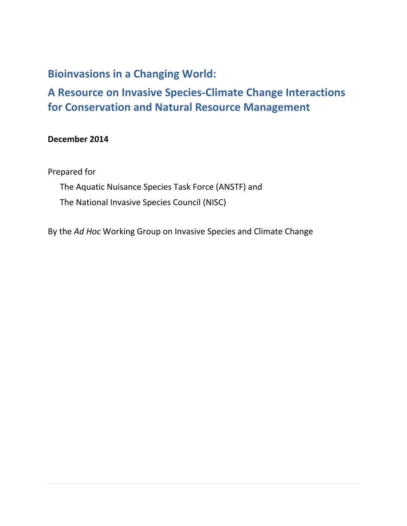# **Bioinvasions in a Changing World:**

**A Resource on Invasive Species-Climate Change Interactions for Conservation and Natural Resource Management**

# **December 2014**

Prepared for

The Aquatic Nuisance Species Task Force (ANSTF) and The National Invasive Species Council (NISC)

By the *Ad Hoc* Working Group on Invasive Species and Climate Change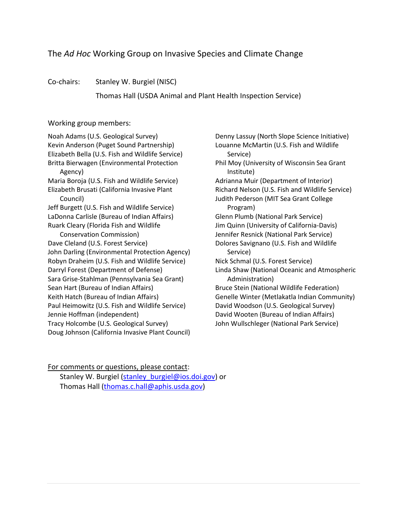# The *Ad Hoc* Working Group on Invasive Species and Climate Change

Co-chairs: Stanley W. Burgiel (NISC)

Thomas Hall (USDA Animal and Plant Health Inspection Service)

#### Working group members:

Noah Adams (U.S. Geological Survey) Kevin Anderson (Puget Sound Partnership) Elizabeth Bella (U.S. Fish and Wildlife Service) Britta Bierwagen (Environmental Protection Agency) Maria Boroja (U.S. Fish and Wildlife Service) Elizabeth Brusati (California Invasive Plant Council) Jeff Burgett (U.S. Fish and Wildlife Service) LaDonna Carlisle (Bureau of Indian Affairs) Ruark Cleary (Florida Fish and Wildlife Conservation Commission) Dave Cleland (U.S. Forest Service) John Darling (Environmental Protection Agency) Robyn Draheim (U.S. Fish and Wildlife Service) Darryl Forest (Department of Defense) Sara Grise-Stahlman (Pennsylvania Sea Grant) Sean Hart (Bureau of Indian Affairs) Keith Hatch (Bureau of Indian Affairs) Paul Heimowitz (U.S. Fish and Wildlife Service) Jennie Hoffman (independent) Tracy Holcombe (U.S. Geological Survey) Doug Johnson (California Invasive Plant Council)

Denny Lassuy (North Slope Science Initiative) Louanne McMartin (U.S. Fish and Wildlife Service) Phil Moy (University of Wisconsin Sea Grant Institute) Adrianna Muir (Department of Interior) Richard Nelson (U.S. Fish and Wildlife Service) Judith Pederson (MIT Sea Grant College Program) Glenn Plumb (National Park Service) Jim Quinn (University of California-Davis) Jennifer Resnick (National Park Service) Dolores Savignano (U.S. Fish and Wildlife Service) Nick Schmal (U.S. Forest Service) Linda Shaw (National Oceanic and Atmospheric Administration) Bruce Stein (National Wildlife Federation) Genelle Winter (Metlakatla Indian Community) David Woodson (U.S. Geological Survey) David Wooten (Bureau of Indian Affairs) John Wullschleger (National Park Service)

#### For comments or questions, please contact:

Stanley W. Burgiel (stanley burgiel@ios.doi.gov) or Thomas Hall [\(thomas.c.hall@aphis.usda.gov\)](mailto:thomas.c.hall@aphis.usda.gov)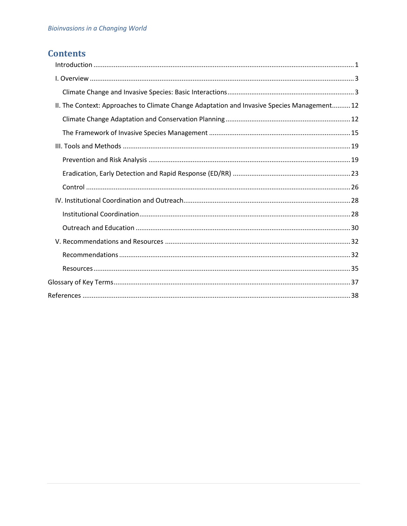# **Contents**

| II. The Context: Approaches to Climate Change Adaptation and Invasive Species Management 12 |  |
|---------------------------------------------------------------------------------------------|--|
|                                                                                             |  |
|                                                                                             |  |
|                                                                                             |  |
|                                                                                             |  |
|                                                                                             |  |
|                                                                                             |  |
|                                                                                             |  |
|                                                                                             |  |
|                                                                                             |  |
|                                                                                             |  |
|                                                                                             |  |
|                                                                                             |  |
|                                                                                             |  |
|                                                                                             |  |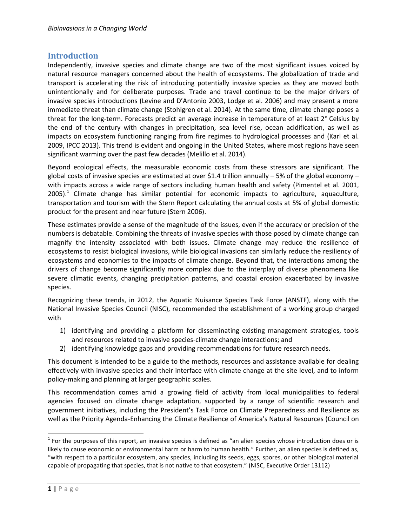## <span id="page-3-0"></span>**Introduction**

Independently, invasive species and climate change are two of the most significant issues voiced by natural resource managers concerned about the health of ecosystems. The globalization of trade and transport is accelerating the risk of introducing potentially invasive species as they are moved both unintentionally and for deliberate purposes. Trade and travel continue to be the major drivers of invasive species introductions (Levine and D'Antonio 2003, Lodge et al. 2006) and may present a more immediate threat than climate change (Stohlgren et al. 2014). At the same time, climate change poses a threat for the long-term. Forecasts predict an average increase in temperature of at least 2° Celsius by the end of the century with changes in precipitation, sea level rise, ocean acidification, as well as impacts on ecosystem functioning ranging from fire regimes to hydrological processes and (Karl et al. 2009, IPCC 2013). This trend is evident and ongoing in the United States, where most regions have seen significant warming over the past few decades (Melillo et al. 2014).

Beyond ecological effects, the measurable economic costs from these stressors are significant. The global costs of invasive species are estimated at over \$1.4 trillion annually  $-$  5% of the global economy  $$ with impacts across a wide range of sectors including human health and safety (Pimentel et al. 2001, 2005).<sup>1</sup> Climate change has similar potential for economic impacts to agriculture, aquaculture, transportation and tourism with the Stern Report calculating the annual costs at 5% of global domestic product for the present and near future (Stern 2006).

These estimates provide a sense of the magnitude of the issues, even if the accuracy or precision of the numbers is debatable. Combining the threats of invasive species with those posed by climate change can magnify the intensity associated with both issues. Climate change may reduce the resilience of ecosystems to resist biological invasions, while biological invasions can similarly reduce the resiliency of ecosystems and economies to the impacts of climate change. Beyond that, the interactions among the drivers of change become significantly more complex due to the interplay of diverse phenomena like severe climatic events, changing precipitation patterns, and coastal erosion exacerbated by invasive species.

Recognizing these trends, in 2012, the Aquatic Nuisance Species Task Force (ANSTF), along with the National Invasive Species Council (NISC), recommended the establishment of a working group charged with

- 1) identifying and providing a platform for disseminating existing management strategies, tools and resources related to invasive species-climate change interactions; and
- 2) identifying knowledge gaps and providing recommendations for future research needs.

This document is intended to be a guide to the methods, resources and assistance available for dealing effectively with invasive species and their interface with climate change at the site level, and to inform policy-making and planning at larger geographic scales.

This recommendation comes amid a growing field of activity from local municipalities to federal agencies focused on climate change adaptation, supported by a range of scientific research and government initiatives, including the President's Task Force on Climate Preparedness and Resilience as well as the Priority Agenda-Enhancing the Climate Resilience of America's Natural Resources (Council on

 $\overline{a}$ 

 $1$  For the purposes of this report, an invasive species is defined as "an alien species whose introduction does or is likely to cause economic or environmental harm or harm to human health." Further, an alien species is defined as, "with respect to a particular ecosystem, any species, including its seeds, eggs, spores, or other biological material capable of propagating that species, that is not native to that ecosystem." (NISC, Executive Order 13112)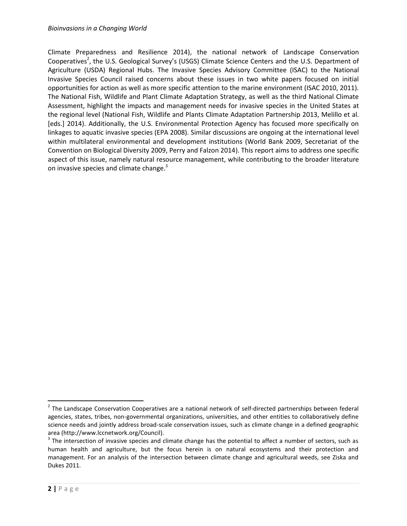Climate Preparedness and Resilience 2014), the national network of Landscape Conservation Cooperatives<sup>2</sup>, the U.S. Geological Survey's (USGS) Climate Science Centers and the U.S. Department of Agriculture (USDA) Regional Hubs. The Invasive Species Advisory Committee (ISAC) to the National Invasive Species Council raised concerns about these issues in two white papers focused on initial opportunities for action as well as more specific attention to the marine environment (ISAC 2010, 2011). The National Fish, Wildlife and Plant Climate Adaptation Strategy, as well as the third National Climate Assessment, highlight the impacts and management needs for invasive species in the United States at the regional level (National Fish, Wildlife and Plants Climate Adaptation Partnership 2013, Melillo et al. [eds.] 2014). Additionally, the U.S. Environmental Protection Agency has focused more specifically on linkages to aquatic invasive species (EPA 2008). Similar discussions are ongoing at the international level within multilateral environmental and development institutions (World Bank 2009, Secretariat of the Convention on Biological Diversity 2009, Perry and Falzon 2014). This report aims to address one specific aspect of this issue, namely natural resource management, while contributing to the broader literature on invasive species and climate change.<sup>3</sup>

 $2$  The Landscape Conservation Cooperatives are a national network of self-directed partnerships between federal agencies, states, tribes, non-governmental organizations, universities, and other entities to collaboratively define science needs and jointly address broad-scale conservation issues, such as climate change in a defined geographic area (http://www.lccnetwork.org/Council).

 $3$  The intersection of invasive species and climate change has the potential to affect a number of sectors, such as human health and agriculture, but the focus herein is on natural ecosystems and their protection and management. For an analysis of the intersection between climate change and agricultural weeds, see Ziska and Dukes 2011.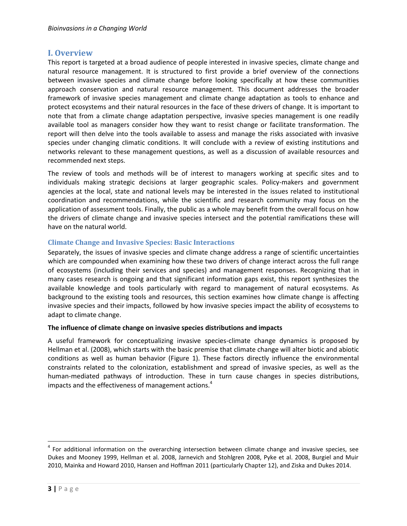## <span id="page-5-0"></span>**I. Overview**

This report is targeted at a broad audience of people interested in invasive species, climate change and natural resource management. It is structured to first provide a brief overview of the connections between invasive species and climate change before looking specifically at how these communities approach conservation and natural resource management. This document addresses the broader framework of invasive species management and climate change adaptation as tools to enhance and protect ecosystems and their natural resources in the face of these drivers of change. It is important to note that from a climate change adaptation perspective, invasive species management is one readily available tool as managers consider how they want to resist change or facilitate transformation. The report will then delve into the tools available to assess and manage the risks associated with invasive species under changing climatic conditions. It will conclude with a review of existing institutions and networks relevant to these management questions, as well as a discussion of available resources and recommended next steps.

The review of tools and methods will be of interest to managers working at specific sites and to individuals making strategic decisions at larger geographic scales. Policy-makers and government agencies at the local, state and national levels may be interested in the issues related to institutional coordination and recommendations, while the scientific and research community may focus on the application of assessment tools. Finally, the public as a whole may benefit from the overall focus on how the drivers of climate change and invasive species intersect and the potential ramifications these will have on the natural world.

#### <span id="page-5-1"></span>**Climate Change and Invasive Species: Basic Interactions**

Separately, the issues of invasive species and climate change address a range of scientific uncertainties which are compounded when examining how these two drivers of change interact across the full range of ecosystems (including their services and species) and management responses. Recognizing that in many cases research is ongoing and that significant information gaps exist, this report synthesizes the available knowledge and tools particularly with regard to management of natural ecosystems. As background to the existing tools and resources, this section examines how climate change is affecting invasive species and their impacts, followed by how invasive species impact the ability of ecosystems to adapt to climate change.

#### **The influence of climate change on invasive species distributions and impacts**

A useful framework for conceptualizing invasive species-climate change dynamics is proposed by Hellman et al. (2008), which starts with the basic premise that climate change will alter biotic and abiotic conditions as well as human behavior (Figure 1). These factors directly influence the environmental constraints related to the colonization, establishment and spread of invasive species, as well as the human-mediated pathways of introduction. These in turn cause changes in species distributions, impacts and the effectiveness of management actions.<sup>4</sup>

<sup>&</sup>lt;sup>4</sup> For additional information on the overarching intersection between climate change and invasive species, see Dukes and Mooney 1999, Hellman et al. 2008, Jarnevich and Stohlgren 2008, Pyke et al. 2008, Burgiel and Muir 2010, Mainka and Howard 2010, Hansen and Hoffman 2011 (particularly Chapter 12), and Ziska and Dukes 2014.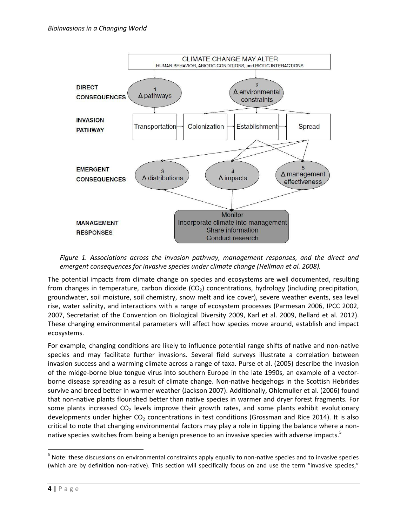

*Figure 1. Associations across the invasion pathway, management responses, and the direct and emergent consequences for invasive species under climate change (Hellman et al. 2008).*

The potential impacts from climate change on species and ecosystems are well documented, resulting from changes in temperature, carbon dioxide  $(CO<sub>2</sub>)$  concentrations, hydrology (including precipitation, groundwater, soil moisture, soil chemistry, snow melt and ice cover), severe weather events, sea level rise, water salinity, and interactions with a range of ecosystem processes (Parmesan 2006, IPCC 2002, 2007, Secretariat of the Convention on Biological Diversity 2009, Karl et al. 2009, Bellard et al. 2012). These changing environmental parameters will affect how species move around, establish and impact ecosystems.

For example, changing conditions are likely to influence potential range shifts of native and non-native species and may facilitate further invasions. Several field surveys illustrate a correlation between invasion success and a warming climate across a range of taxa. Purse et al. (2005) describe the invasion of the midge-borne blue tongue virus into southern Europe in the late 1990s, an example of a vectorborne disease spreading as a result of climate change. Non-native hedgehogs in the Scottish Hebrides survive and breed better in warmer weather (Jackson 2007). Additionally, Ohlemuller et al. (2006) found that non-native plants flourished better than native species in warmer and dryer forest fragments. For some plants increased  $CO<sub>2</sub>$  levels improve their growth rates, and some plants exhibit evolutionary developments under higher CO<sub>2</sub> concentrations in test conditions (Grossman and Rice 2014). It is also critical to note that changing environmental factors may play a role in tipping the balance where a nonnative species switches from being a benign presence to an invasive species with adverse impacts.<sup>5</sup>

<sup>&</sup>lt;sup>5</sup> Note: these discussions on environmental constraints apply equally to non-native species and to invasive species (which are by definition non-native). This section will specifically focus on and use the term "invasive species,"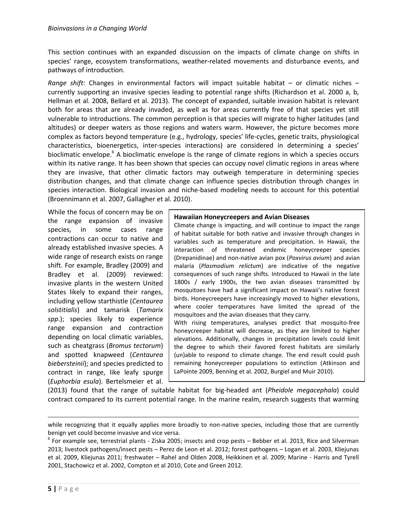This section continues with an expanded discussion on the impacts of climate change on shifts in species' range, ecosystem transformations, weather-related movements and disturbance events, and pathways of introduction.

*Range shift*: Changes in environmental factors will impact suitable habitat – or climatic niches – currently supporting an invasive species leading to potential range shifts (Richardson et al. 2000 a, b, Hellman et al. 2008, Bellard et al. 2013). The concept of expanded, suitable invasion habitat is relevant both for areas that are already invaded, as well as for areas currently free of that species yet still vulnerable to introductions. The common perception is that species will migrate to higher latitudes (and altitudes) or deeper waters as those regions and waters warm. However, the picture becomes more complex as factors beyond temperature (e.g., hydrology, species' life-cycles, genetic traits, physiological characteristics, bioenergetics, inter-species interactions) are considered in determining a species' bioclimatic envelope.<sup>6</sup> A bioclimatic envelope is the range of climate regions in which a species occurs within its native range. It has been shown that species can occupy novel climatic regions in areas where they are invasive, that other climatic factors may outweigh temperature in determining species distribution changes, and that climate change can influence species distribution through changes in species interaction. Biological invasion and niche-based modeling needs to account for this potential (Broennimann et al. 2007, Gallagher et al. 2010).

While the focus of concern may be on the range expansion of invasive species, in some cases range contractions can occur to native and already established invasive species. A wide range of research exists on range shift. For example, Bradley (2009) and Bradley et al. (2009) reviewed: invasive plants in the western United States likely to expand their ranges, including yellow starthistle (*Centaurea solstitialis*) and tamarisk (*Tamarix spp*.); species likely to experience range expansion and contraction depending on local climatic variables, such as cheatgrass (*Bromus tectorum*) and spotted knapweed (*Centaurea biebersteinii*); and species predicted to contract in range, like leafy spurge (*Euphorbia esula*). Bertelsmeier et al.

#### **Hawaiian Honeycreepers and Avian Diseases**

Climate change is impacting, and will continue to impact the range of habitat suitable for both native and invasive through changes in variables such as temperature and precipitation. In Hawaii, the interaction of threatened endemic honeycreeper species (Drepanidinae) and non-native avian pox (*Poxvirus avium*) and avian malaria (*Plasmodium relictum*) are indicative of the negative consequences of such range shifts. Introduced to Hawaii in the late 1800s / early 1900s, the two avian diseases transmitted by mosquitoes have had a significant impact on Hawaii's native forest birds. Honeycreepers have increasingly moved to higher elevations, where cooler temperatures have limited the spread of the mosquitoes and the avian diseases that they carry. With rising temperatures, analyses predict that mosquito-free

honeycreeper habitat will decrease, as they are limited to higher elevations. Additionally, changes in precipitation levels could limit the degree to which their favored forest habitats are similarly (un)able to respond to climate change. The end result could push remaining honeycreeper populations to extinction (Atkinson and LaPointe 2009, Benning et al. 2002, Burgiel and Muir 2010).

(2013) found that the range of suitable habitat for big-headed ant (*Pheidole megacephala*) could contract compared to its current potential range. In the marine realm, research suggests that warming

l

while recognizing that it equally applies more broadly to non-native species, including those that are currently benign yet could become invasive and vice versa.

 $^6$  For example see, terrestrial plants - Ziska 2005; insects and crop pests – Bebber et al. 2013, Rice and Silverman 2013; livestock pathogens/insect pests – Perez de Leon et al. 2012; forest pathogens – Logan et al. 2003, Kliejunas et al. 2009, Kliejunas 2011; freshwater – Rahel and Olden 2008, Heikkinen et al. 2009; Marine - Harris and Tyrell 2001, Stachowicz et al. 2002, Compton et al 2010, Cote and Green 2012.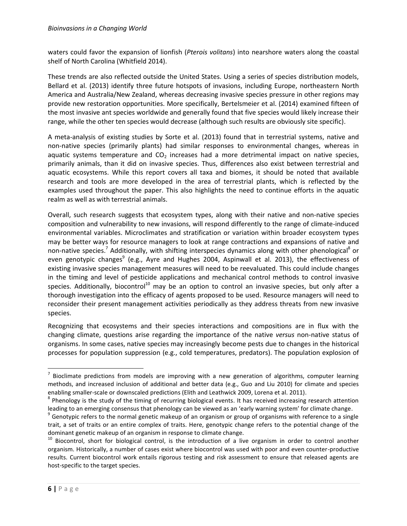waters could favor the expansion of lionfish (*Pterois volitans*) into nearshore waters along the coastal shelf of North Carolina (Whitfield 2014).

These trends are also reflected outside the United States. Using a series of species distribution models, Bellard et al. (2013) identify three future hotspots of invasions, including Europe, northeastern North America and Australia/New Zealand, whereas decreasing invasive species pressure in other regions may provide new restoration opportunities. More specifically, Bertelsmeier et al. (2014) examined fifteen of the most invasive ant species worldwide and generally found that five species would likely increase their range, while the other ten species would decrease (although such results are obviously site specific).

A meta-analysis of existing studies by Sorte et al. (2013) found that in terrestrial systems, native and non-native species (primarily plants) had similar responses to environmental changes, whereas in aquatic systems temperature and  $CO<sub>2</sub>$  increases had a more detrimental impact on native species, primarily animals, than it did on invasive species. Thus, differences also exist between terrestrial and aquatic ecosystems. While this report covers all taxa and biomes, it should be noted that available research and tools are more developed in the area of terrestrial plants, which is reflected by the examples used throughout the paper. This also highlights the need to continue efforts in the aquatic realm as well as with terrestrial animals.

Overall, such research suggests that ecosystem types, along with their native and non-native species composition and vulnerability to new invasions, will respond differently to the range of climate-induced environmental variables. Microclimates and stratification or variation within broader ecosystem types may be better ways for resource managers to look at range contractions and expansions of native and non-native species.<sup>7</sup> Additionally, with shifting interspecies dynamics along with other phenological<sup>8</sup> or even genotypic changes<sup>9</sup> (e.g., Ayre and Hughes 2004, Aspinwall et al. 2013), the effectiveness of existing invasive species management measures will need to be reevaluated. This could include changes in the timing and level of pesticide applications and mechanical control methods to control invasive species. Additionally, biocontrol<sup>10</sup> may be an option to control an invasive species, but only after a thorough investigation into the efficacy of agents proposed to be used. Resource managers will need to reconsider their present management activities periodically as they address threats from new invasive species.

Recognizing that ecosystems and their species interactions and compositions are in flux with the changing climate, questions arise regarding the importance of the native *versus* non-native status of organisms. In some cases, native species may increasingly become pests due to changes in the historical processes for population suppression (e.g., cold temperatures, predators). The population explosion of

 $<sup>7</sup>$  Bioclimate predictions from models are improving with a new generation of algorithms, computer learning</sup> methods, and increased inclusion of additional and better data (e.g., Guo and Liu 2010) for climate and species enabling smaller-scale or downscaled predictions (Elith and Leathwick 2009, Lorena et al. 2011).

<sup>&</sup>lt;sup>8</sup> Phenology is the study of the timing of recurring biological events. It has received increasing research attention leading to an emerging consensus that phenology can be viewed as an 'early warning system' for climate change.

 $^9$  Genotypic refers to the normal genetic makeup of an organism or group of organisms with reference to a single trait, a set of traits or an entire complex of traits. Here, genotypic change refers to the potential change of the dominant genetic makeup of an organism in response to climate change.

<sup>&</sup>lt;sup>10</sup> Biocontrol, short for biological control, is the introduction of a live organism in order to control another organism. Historically, a number of cases exist where biocontrol was used with poor and even counter-productive results. Current biocontrol work entails rigorous testing and risk assessment to ensure that released agents are host-specific to the target species.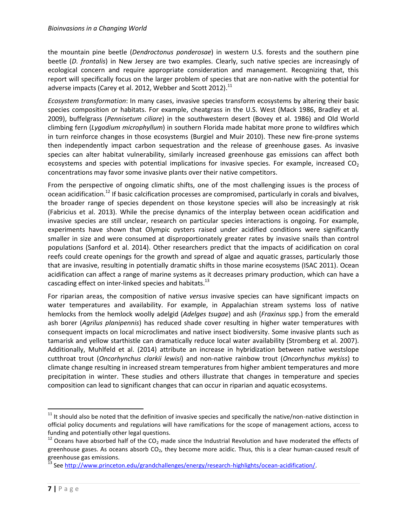the mountain pine beetle (*Dendroctonus ponderosae*) in western U.S. forests and the southern pine beetle (*D. frontalis*) in New Jersey are two examples. Clearly, such native species are increasingly of ecological concern and require appropriate consideration and management. Recognizing that, this report will specifically focus on the larger problem of species that are non-native with the potential for adverse impacts (Carey et al. 2012, Webber and Scott 2012). $^{11}$ 

*Ecosystem transformation*: In many cases, invasive species transform ecosystems by altering their basic species composition or habitats. For example, cheatgrass in the U.S. West (Mack 1986, Bradley et al. 2009), buffelgrass (*Pennisetum ciliare*) in the southwestern desert (Bovey et al. 1986) and Old World climbing fern (*Lygodium microphyllum*) in southern Florida made habitat more prone to wildfires which in turn reinforce changes in those ecosystems (Burgiel and Muir 2010). These new fire-prone systems then independently impact carbon sequestration and the release of greenhouse gases. As invasive species can alter habitat vulnerability, similarly increased greenhouse gas emissions can affect both ecosystems and species with potential implications for invasive species. For example, increased  $CO<sub>2</sub>$ concentrations may favor some invasive plants over their native competitors.

From the perspective of ongoing climatic shifts, one of the most challenging issues is the process of ocean acidification.<sup>12</sup> If basic calcification processes are compromised, particularly in corals and bivalves, the broader range of species dependent on those keystone species will also be increasingly at risk (Fabricius et al. 2013). While the precise dynamics of the interplay between ocean acidification and invasive species are still unclear, research on particular species interactions is ongoing. For example, experiments have shown that Olympic oysters raised under acidified conditions were significantly smaller in size and were consumed at disproportionately greater rates by invasive snails than control populations (Sanford et al. 2014). Other researchers predict that the impacts of acidification on coral reefs could create openings for the growth and spread of algae and aquatic grasses, particularly those that are invasive, resulting in potentially dramatic shifts in those marine ecosystems (ISAC 2011). Ocean acidification can affect a range of marine systems as it decreases primary production, which can have a cascading effect on inter-linked species and habitats.<sup>13</sup>

For riparian areas, the composition of native *versus* invasive species can have significant impacts on water temperatures and availability. For example, in Appalachian stream systems loss of native hemlocks from the hemlock woolly adelgid (*Adelges tsugae*) and ash (*Fraxinus* spp.) from the emerald ash borer (*Agrilus planipennis*) has reduced shade cover resulting in higher water temperatures with consequent impacts on local microclimates and native insect biodiversity. Some invasive plants such as tamarisk and yellow starthistle can dramatically reduce local water availability (Stromberg et al. 2007). Additionally, Muhlfeld et al. (2014) attribute an increase in hybridization between native westslope cutthroat trout (*Oncorhynchus clarkii lewisi*) and non-native rainbow trout (*Oncorhynchus mykiss*) to climate change resulting in increased stream temperatures from higher ambient temperatures and more precipitation in winter. These studies and others illustrate that changes in temperature and species composition can lead to significant changes that can occur in riparian and aquatic ecosystems.

 $11$  It should also be noted that the definition of invasive species and specifically the native/non-native distinction in official policy documents and regulations will have ramifications for the scope of management actions, access to funding and potentially other legal questions.

<sup>&</sup>lt;sup>12</sup> Oceans have absorbed half of the CO<sub>2</sub> made since the Industrial Revolution and have moderated the effects of greenhouse gases. As oceans absorb  $CO<sub>2</sub>$ , they become more acidic. Thus, this is a clear human-caused result of greenhouse gas emissions.

<sup>&</sup>lt;sup>13</sup> Se[e http://www.princeton.edu/grandchallenges/energy/research-highlights/ocean-acidification/.](http://www.princeton.edu/grandchallenges/energy/research-highlights/ocean-acidification/)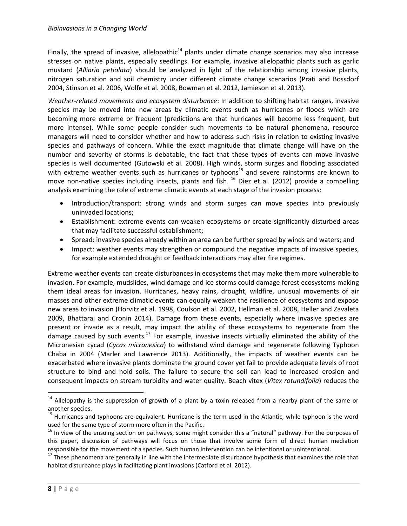Finally, the spread of invasive, allelopathic<sup>14</sup> plants under climate change scenarios may also increase stresses on native plants, especially seedlings. For example, invasive allelopathic plants such as garlic mustard (*Alliaria petiolata*) should be analyzed in light of the relationship among invasive plants, nitrogen saturation and soil chemistry under different climate change scenarios (Prati and Bossdorf 2004, Stinson et al. 2006, Wolfe et al. 2008, Bowman et al. 2012, Jamieson et al. 2013).

*Weather-related movements and ecosystem disturbance*: In addition to shifting habitat ranges, invasive species may be moved into new areas by climatic events such as hurricanes or floods which are becoming more extreme or frequent (predictions are that hurricanes will become less frequent, but more intense). While some people consider such movements to be natural phenomena, resource managers will need to consider whether and how to address such risks in relation to existing invasive species and pathways of concern. While the exact magnitude that climate change will have on the number and severity of storms is debatable, the fact that these types of events can move invasive species is well documented (Gutowski et al. 2008). High winds, storm surges and flooding associated with extreme weather events such as hurricanes or typhoons<sup>15</sup> and severe rainstorms are known to move non-native species including insects, plants and fish.  $^{16}$  Diez et al. (2012) provide a compelling analysis examining the role of extreme climatic events at each stage of the invasion process:

- Introduction/transport: strong winds and storm surges can move species into previously uninvaded locations;
- Establishment: extreme events can weaken ecosystems or create significantly disturbed areas that may facilitate successful establishment;
- Spread: invasive species already within an area can be further spread by winds and waters; and
- Impact: weather events may strengthen or compound the negative impacts of invasive species, for example extended drought or feedback interactions may alter fire regimes.

Extreme weather events can create disturbances in ecosystems that may make them more vulnerable to invasion. For example, mudslides, wind damage and ice storms could damage forest ecosystems making them ideal areas for invasion. Hurricanes, heavy rains, drought, wildfire, unusual movements of air masses and other extreme climatic events can equally weaken the resilience of ecosystems and expose new areas to invasion (Horvitz et al. 1998, Coulson et al. 2002, Hellman et al. 2008, Heller and Zavaleta 2009, Bhattarai and Cronin 2014). Damage from these events, especially where invasive species are present or invade as a result, may impact the ability of these ecosystems to regenerate from the damage caused by such events.<sup>17</sup> For example, invasive insects virtually eliminated the ability of the Micronesian cycad (*Cycas micronesica*) to withstand wind damage and regenerate following Typhoon Chaba in 2004 (Marler and Lawrence 2013). Additionally, the impacts of weather events can be exacerbated where invasive plants dominate the ground cover yet fail to provide adequate levels of root structure to bind and hold soils. The failure to secure the soil can lead to increased erosion and consequent impacts on stream turbidity and water quality. Beach vitex (*Vitex rotundifolia*) reduces the

<sup>&</sup>lt;sup>14</sup> Allelopathy is the suppression of growth of a plant by a toxin released from a nearby plant of the same or another species.

<sup>&</sup>lt;sup>15</sup> Hurricanes and typhoons are equivalent. Hurricane is the term used in the Atlantic, while typhoon is the word used for the same type of storm more often in the Pacific.

<sup>&</sup>lt;sup>16</sup> In view of the ensuing section on pathways, some might consider this a "natural" pathway. For the purposes of this paper, discussion of pathways will focus on those that involve some form of direct human mediation responsible for the movement of a species. Such human intervention can be intentional or unintentional.

 $17$  These phenomena are generally in line with the intermediate disturbance hypothesis that examines the role that habitat disturbance plays in facilitating plant invasions (Catford et al. 2012).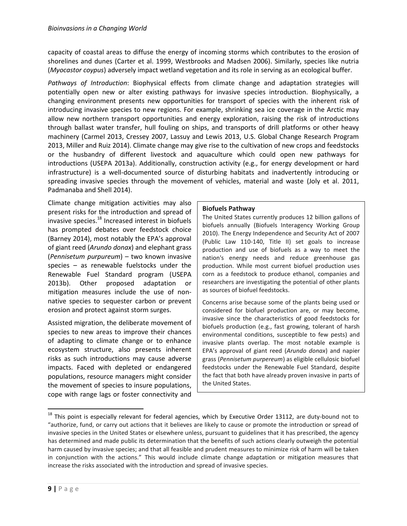capacity of coastal areas to diffuse the energy of incoming storms which contributes to the erosion of shorelines and dunes (Carter et al. 1999, Westbrooks and Madsen 2006). Similarly, species like nutria (*Myocastor coypus*) adversely impact wetland vegetation and its role in serving as an ecological buffer.

*Pathways of Introduction*: Biophysical effects from climate change and adaptation strategies will potentially open new or alter existing pathways for invasive species introduction. Biophysically, a changing environment presents new opportunities for transport of species with the inherent risk of introducing invasive species to new regions. For example, shrinking sea ice coverage in the Arctic may allow new northern transport opportunities and energy exploration, raising the risk of introductions through ballast water transfer, hull fouling on ships, and transports of drill platforms or other heavy machinery (Carmel 2013, Cressey 2007, Lassuy and Lewis 2013, U.S. Global Change Research Program 2013, Miller and Ruiz 2014). Climate change may give rise to the cultivation of new crops and feedstocks or the husbandry of different livestock and aquaculture which could open new pathways for introductions (USEPA 2013a). Additionally, construction activity (e.g., for energy development or hard infrastructure) is a well-documented source of disturbing habitats and inadvertently introducing or spreading invasive species through the movement of vehicles, material and waste (Joly et al. 2011, Padmanaba and Shell 2014).

Climate change mitigation activities may also present risks for the introduction and spread of invasive species.<sup>18</sup> Increased interest in biofuels has prompted debates over feedstock choice (Barney 2014), most notably the EPA's approval of giant reed (*Arundo donax*) and elephant grass (*Pennisetum purpureum*) – two known invasive species – as renewable fuelstocks under the Renewable Fuel Standard program (USEPA 2013b). Other proposed adaptation or mitigation measures include the use of nonnative species to sequester carbon or prevent erosion and protect against storm surges.

Assisted migration, the deliberate movement of species to new areas to improve their chances of adapting to climate change or to enhance ecosystem structure, also presents inherent risks as such introductions may cause adverse impacts. Faced with depleted or endangered populations, resource managers might consider the movement of species to insure populations, cope with range lags or foster connectivity and

#### **Biofuels Pathway**

The United States currently produces 12 billion gallons of biofuels annually (Biofuels Interagency Working Group 2010). The Energy Independence and Security Act of 2007 (Public Law 110-140, Title II) set goals to increase production and use of biofuels as a way to meet the nation's energy needs and reduce greenhouse gas production. While most current biofuel production uses corn as a feedstock to produce ethanol, companies and researchers are investigating the potential of other plants as sources of biofuel feedstocks.

Concerns arise because some of the plants being used or considered for biofuel production are, or may become, invasive since the characteristics of good feedstocks for biofuels production (e.g., fast growing, tolerant of harsh environmental conditions, susceptible to few pests) and invasive plants overlap. The most notable example is EPA's approval of giant reed (*Arundo donax*) and napier grass (*Pennisetum purpereum*) as eligible cellulosic biofuel feedstocks under the Renewable Fuel Standard, despite the fact that both have already proven invasive in parts of the United States.

 $18$  This point is especially relevant for federal agencies, which by Executive Order 13112, are duty-bound not to "authorize, fund, or carry out actions that it believes are likely to cause or promote the introduction or spread of invasive species in the United States or elsewhere unless, pursuant to guidelines that it has prescribed, the agency has determined and made public its determination that the benefits of such actions clearly outweigh the potential harm caused by invasive species; and that all feasible and prudent measures to minimize risk of harm will be taken in conjunction with the actions." This would include climate change adaptation or mitigation measures that increase the risks associated with the introduction and spread of invasive species.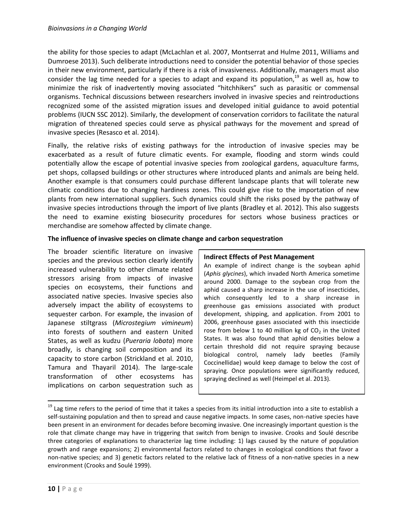the ability for those species to adapt (McLachlan et al. 2007, Montserrat and Hulme 2011, Williams and Dumroese 2013). Such deliberate introductions need to consider the potential behavior of those species in their new environment, particularly if there is a risk of invasiveness. Additionally, managers must also consider the lag time needed for a species to adapt and expand its population,<sup>19</sup> as well as, how to minimize the risk of inadvertently moving associated "hitchhikers" such as parasitic or commensal organisms. Technical discussions between researchers involved in invasive species and reintroductions recognized some of the assisted migration issues and developed initial guidance to avoid potential problems (IUCN SSC 2012). Similarly, the development of conservation corridors to facilitate the natural migration of threatened species could serve as physical pathways for the movement and spread of invasive species (Resasco et al. 2014).

Finally, the relative risks of existing pathways for the introduction of invasive species may be exacerbated as a result of future climatic events. For example, flooding and storm winds could potentially allow the escape of potential invasive species from zoological gardens, aquaculture farms, pet shops, collapsed buildings or other structures where introduced plants and animals are being held. Another example is that consumers could purchase different landscape plants that will tolerate new climatic conditions due to changing hardiness zones. This could give rise to the importation of new plants from new international suppliers. Such dynamics could shift the risks posed by the pathway of invasive species introductions through the import of live plants (Bradley et al. 2012). This also suggests the need to examine existing biosecurity procedures for sectors whose business practices or merchandise are somehow affected by climate change.

#### **The influence of invasive species on climate change and carbon sequestration**

The broader scientific literature on invasive species and the previous section clearly identify increased vulnerability to other climate related stressors arising from impacts of invasive species on ecosystems, their functions and associated native species. Invasive species also adversely impact the ability of ecosystems to sequester carbon. For example, the invasion of Japanese stiltgrass (*Microstegium vimineum*) into forests of southern and eastern United States, as well as kudzu (*Pueraria lobata*) more broadly, is changing soil composition and its capacity to store carbon (Strickland et al. 2010, Tamura and Thayaril 2014). The large-scale transformation of other ecosystems has implications on carbon sequestration such as

#### **Indirect Effects of Pest Management**

An example of indirect change is the soybean aphid (*Aphis glycines*), which invaded North America sometime around 2000. Damage to the soybean crop from the aphid caused a sharp increase in the use of insecticides, which consequently led to a sharp increase in greenhouse gas emissions associated with product development, shipping, and application. From 2001 to 2006, greenhouse gases associated with this insecticide rose from below 1 to 40 million kg of  $CO<sub>2</sub>$  in the United States. It was also found that aphid densities below a certain threshold did not require spraying because biological control, namely lady beetles (Family Coccinellidae) would keep damage to below the cost of spraying. Once populations were significantly reduced, spraying declined as well (Heimpel et al. 2013).

<sup>&</sup>lt;sup>19</sup> Lag time refers to the period of time that it takes a species from its initial introduction into a site to establish a self-sustaining population and then to spread and cause negative impacts. In some cases, non-native species have been present in an environment for decades before becoming invasive. One increasingly important question is the role that climate change may have in triggering that switch from benign to invasive. Crooks and Soulé describe three categories of explanations to characterize lag time including: 1) lags caused by the nature of population growth and range expansions; 2) environmental factors related to changes in ecological conditions that favor a non-native species; and 3) genetic factors related to the relative lack of fitness of a non-native species in a new environment (Crooks and Soulé 1999).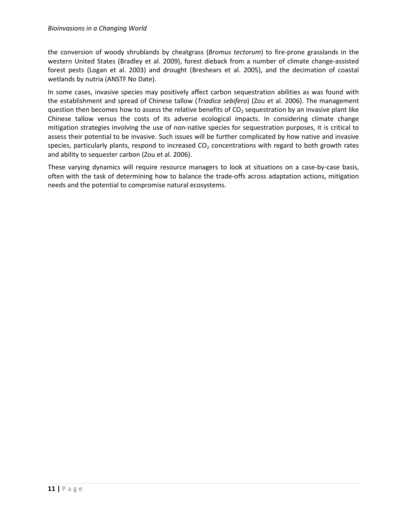the conversion of woody shrublands by cheatgrass (*Bromus tectorum*) to fire-prone grasslands in the western United States (Bradley et al. 2009), forest dieback from a number of climate change-assisted forest pests (Logan et al. 2003) and drought (Breshears et al. 2005), and the decimation of coastal wetlands by nutria (ANSTF No Date).

In some cases, invasive species may positively affect carbon sequestration abilities as was found with the establishment and spread of Chinese tallow (*Triadica sebifera*) (Zou et al. 2006). The management question then becomes how to assess the relative benefits of  $CO<sub>2</sub>$  sequestration by an invasive plant like Chinese tallow versus the costs of its adverse ecological impacts. In considering climate change mitigation strategies involving the use of non-native species for sequestration purposes, it is critical to assess their potential to be invasive. Such issues will be further complicated by how native and invasive species, particularly plants, respond to increased  $CO<sub>2</sub>$  concentrations with regard to both growth rates and ability to sequester carbon (Zou et al. 2006).

These varying dynamics will require resource managers to look at situations on a case-by-case basis, often with the task of determining how to balance the trade-offs across adaptation actions, mitigation needs and the potential to compromise natural ecosystems.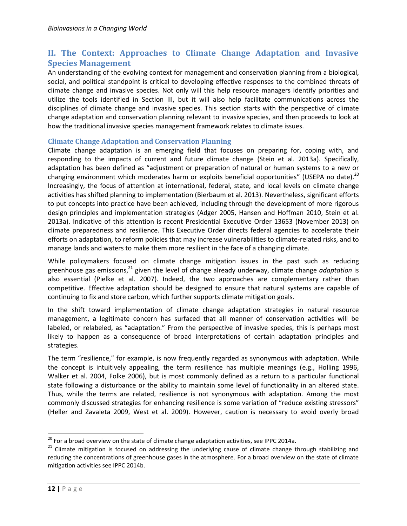# <span id="page-14-0"></span>**II. The Context: Approaches to Climate Change Adaptation and Invasive Species Management**

An understanding of the evolving context for management and conservation planning from a biological, social, and political standpoint is critical to developing effective responses to the combined threats of climate change and invasive species. Not only will this help resource managers identify priorities and utilize the tools identified in Section III, but it will also help facilitate communications across the disciplines of climate change and invasive species. This section starts with the perspective of climate change adaptation and conservation planning relevant to invasive species, and then proceeds to look at how the traditional invasive species management framework relates to climate issues.

#### <span id="page-14-1"></span>**Climate Change Adaptation and Conservation Planning**

Climate change adaptation is an emerging field that focuses on preparing for, coping with, and responding to the impacts of current and future climate change (Stein et al. 2013a). Specifically, adaptation has been defined as "adjustment or preparation of natural or human systems to a new or changing environment which moderates harm or exploits beneficial opportunities" (USEPA no date).<sup>20</sup> Increasingly, the focus of attention at international, federal, state, and local levels on climate change activities has shifted planning to implementation (Bierbaum et al. 2013). Nevertheless, significant efforts to put concepts into practice have been achieved, including through the development of more rigorous design principles and implementation strategies (Adger 2005, Hansen and Hoffman 2010, Stein et al. 2013a). Indicative of this attention is recent Presidential Executive Order 13653 (November 2013) on climate preparedness and resilience. This Executive Order directs federal agencies to accelerate their efforts on adaptation, to reform policies that may increase vulnerabilities to climate-related risks, and to manage lands and waters to make them more resilient in the face of a changing climate.

While policymakers focused on climate change mitigation issues in the past such as reducing greenhouse gas emissions, <sup>21</sup> given the level of change already underway, climate change *adaptation* is also essential (Pielke et al. 2007). Indeed, the two approaches are complementary rather than competitive. Effective adaptation should be designed to ensure that natural systems are capable of continuing to fix and store carbon, which further supports climate mitigation goals.

In the shift toward implementation of climate change adaptation strategies in natural resource management, a legitimate concern has surfaced that all manner of conservation activities will be labeled, or relabeled, as "adaptation." From the perspective of invasive species, this is perhaps most likely to happen as a consequence of broad interpretations of certain adaptation principles and strategies.

The term "resilience," for example, is now frequently regarded as synonymous with adaptation. While the concept is intuitively appealing, the term resilience has multiple meanings (e.g., Holling 1996, Walker et al. 2004, Folke 2006), but is most commonly defined as a return to a particular functional state following a disturbance or the ability to maintain some level of functionality in an altered state. Thus, while the terms are related, resilience is not synonymous with adaptation. Among the most commonly discussed strategies for enhancing resilience is some variation of "reduce existing stressors" (Heller and Zavaleta 2009, West et al. 2009). However, caution is necessary to avoid overly broad

 $\overline{a}$ 

 $20$  For a broad overview on the state of climate change adaptation activities, see IPPC 2014a.

<sup>&</sup>lt;sup>21</sup> Climate mitigation is focused on addressing the underlying cause of climate change through stabilizing and reducing the concentrations of greenhouse gases in the atmosphere. For a broad overview on the state of climate mitigation activities see IPPC 2014b.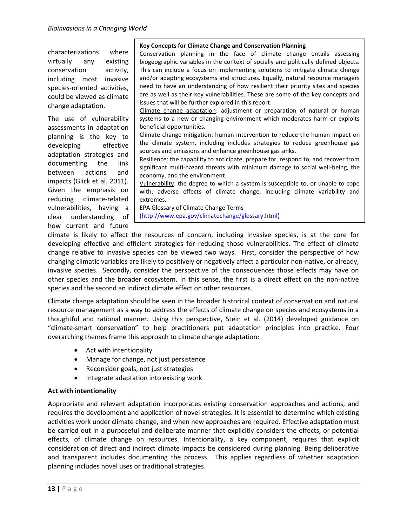characterizations where virtually any existing conservation activity, including most invasive species-oriented activities, could be viewed as climate change adaptation.

The use of vulnerability assessments in adaptation planning is the key to developing effective adaptation strategies and documenting the link between actions and impacts (Glick et al. 2011). Given the emphasis on reducing climate-related vulnerabilities, having a clear understanding of how current and future

#### **Key Concepts for Climate Change and Conservation Planning**

Conservation planning in the face of climate change entails assessing biogeographic variables in the context of socially and politically defined objects. This can include a focus on implementing solutions to mitigate climate change and/or adapting ecosystems and structures. Equally, natural resource managers need to have an understanding of how resilient their priority sites and species are as well as their key vulnerabilities. These are some of the key concepts and issues that will be further explored in this report:

Climate change adaptation: adjustment or preparation of natural or human systems to a new or changing environment which moderates harm or exploits beneficial opportunities.

Climate change mitigation: human intervention to reduce the human impact on the climate system, including includes strategies to reduce greenhouse gas sources and emissions and enhance greenhouse gas sinks.

Resilience: the capability to anticipate, prepare for, respond to, and recover from significant multi-hazard threats with minimum damage to social well-being, the economy, and the environment.

Vulnerability: the degree to which a system is susceptible to, or unable to cope with, adverse effects of climate change, including climate variability and extremes.

EPA Glossary of Climate Change Terms [\(http://www.epa.gov/climatechange/glossary.html\)](http://www.epa.gov/climatechange/glossary.html)

climate is likely to affect the resources of concern, including invasive species, is at the core for developing effective and efficient strategies for reducing those vulnerabilities. The effect of climate change relative to invasive species can be viewed two ways. First, consider the perspective of how changing climatic variables are likely to positively or negatively affect a particular non-native, or already, invasive species. Secondly, consider the perspective of the consequences those effects may have on other species and the broader ecosystem. In this sense, the first is a direct effect on the non-native species and the second an indirect climate effect on other resources.

Climate change adaptation should be seen in the broader historical context of conservation and natural resource management as a way to address the effects of climate change on species and ecosystems in a thoughtful and rational manner. Using this perspective, Stein et al. (2014) developed guidance on "climate-smart conservation" to help practitioners put adaptation principles into practice. Four overarching themes frame this approach to climate change adaptation:

- Act with intentionality
- Manage for change, not just persistence
- Reconsider goals, not just strategies
- Integrate adaptation into existing work

#### **Act with intentionality**

Appropriate and relevant adaptation incorporates existing conservation approaches and actions, and requires the development and application of novel strategies. It is essential to determine which existing activities work under climate change, and when new approaches are required. Effective adaptation must be carried out in a purposeful and deliberate manner that explicitly considers the effects, or potential effects, of climate change on resources. Intentionality, a key component, requires that explicit consideration of direct and indirect climate impacts be considered during planning. Being deliberative and transparent includes documenting the process. This applies regardless of whether adaptation planning includes novel uses or traditional strategies.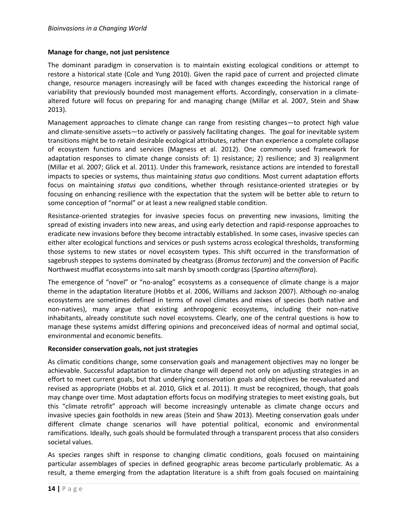#### **Manage for change, not just persistence**

The dominant paradigm in conservation is to maintain existing ecological conditions or attempt to restore a historical state (Cole and Yung 2010). Given the rapid pace of current and projected climate change, resource managers increasingly will be faced with changes exceeding the historical range of variability that previously bounded most management efforts. Accordingly, conservation in a climatealtered future will focus on preparing for and managing change (Millar et al. 2007, Stein and Shaw 2013).

Management approaches to climate change can range from resisting changes—to protect high value and climate-sensitive assets—to actively or passively facilitating changes. The goal for inevitable system transitions might be to retain desirable ecological attributes, rather than experience a complete collapse of ecosystem functions and services (Magness et al. 2012). One commonly used framework for adaptation responses to climate change consists of: 1) resistance; 2) resilience; and 3) realignment (Millar et al. 2007; Glick et al. 2011). Under this framework, resistance actions are intended to forestall impacts to species or systems, thus maintaining *status quo* conditions. Most current adaptation efforts focus on maintaining *status quo* conditions, whether through resistance-oriented strategies or by focusing on enhancing resilience with the expectation that the system will be better able to return to some conception of "normal" or at least a new realigned stable condition.

Resistance-oriented strategies for invasive species focus on preventing new invasions, limiting the spread of existing invaders into new areas, and using early detection and rapid-response approaches to eradicate new invasions before they become intractably established. In some cases, invasive species can either alter ecological functions and services or push systems across ecological thresholds, transforming those systems to new states or novel ecosystem types. This shift occurred in the transformation of sagebrush steppes to systems dominated by cheatgrass (*Bromus tectorum*) and the conversion of Pacific Northwest mudflat ecosystems into salt marsh by smooth cordgrass (*Spartina alterniflora*).

The emergence of "novel" or "no-analog" ecosystems as a consequence of climate change is a major theme in the adaptation literature (Hobbs et al. 2006, Williams and Jackson 2007). Although no-analog ecosystems are sometimes defined in terms of novel climates and mixes of species (both native and non-natives), many argue that existing anthropogenic ecosystems, including their non-native inhabitants, already constitute such novel ecosystems. Clearly, one of the central questions is how to manage these systems amidst differing opinions and preconceived ideas of normal and optimal social, environmental and economic benefits.

#### **Reconsider conservation goals, not just strategies**

As climatic conditions change, some conservation goals and management objectives may no longer be achievable. Successful adaptation to climate change will depend not only on adjusting strategies in an effort to meet current goals, but that underlying conservation goals and objectives be reevaluated and revised as appropriate (Hobbs et al. 2010, Glick et al. 2011). It must be recognized, though, that goals may change over time. Most adaptation efforts focus on modifying strategies to meet existing goals, but this "climate retrofit" approach will become increasingly untenable as climate change occurs and invasive species gain footholds in new areas (Stein and Shaw 2013). Meeting conservation goals under different climate change scenarios will have potential political, economic and environmental ramifications. Ideally, such goals should be formulated through a transparent process that also considers societal values.

As species ranges shift in response to changing climatic conditions, goals focused on maintaining particular assemblages of species in defined geographic areas become particularly problematic. As a result, a theme emerging from the adaptation literature is a shift from goals focused on maintaining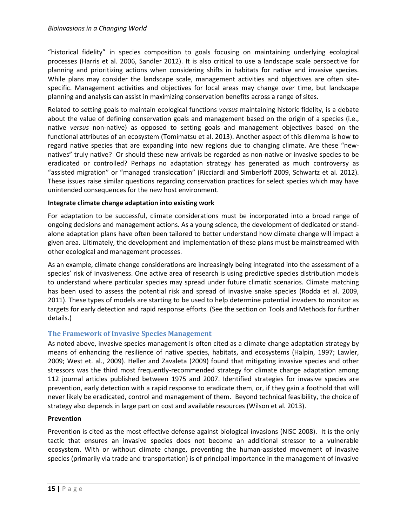"historical fidelity" in species composition to goals focusing on maintaining underlying ecological processes (Harris et al. 2006, Sandler 2012). It is also critical to use a landscape scale perspective for planning and prioritizing actions when considering shifts in habitats for native and invasive species. While plans may consider the landscape scale, management activities and objectives are often sitespecific. Management activities and objectives for local areas may change over time, but landscape planning and analysis can assist in maximizing conservation benefits across a range of sites.

Related to setting goals to maintain ecological functions *versus* maintaining historic fidelity, is a debate about the value of defining conservation goals and management based on the origin of a species (i.e., native *versus* non-native) as opposed to setting goals and management objectives based on the functional attributes of an ecosystem (Tomimatsu et al. 2013). Another aspect of this dilemma is how to regard native species that are expanding into new regions due to changing climate. Are these "newnatives" truly native? Or should these new arrivals be regarded as non-native or invasive species to be eradicated or controlled? Perhaps no adaptation strategy has generated as much controversy as "assisted migration" or "managed translocation" (Ricciardi and Simberloff 2009, Schwartz et al. 2012). These issues raise similar questions regarding conservation practices for select species which may have unintended consequences for the new host environment.

#### **Integrate climate change adaptation into existing work**

For adaptation to be successful, climate considerations must be incorporated into a broad range of ongoing decisions and management actions. As a young science, the development of dedicated or standalone adaptation plans have often been tailored to better understand how climate change will impact a given area. Ultimately, the development and implementation of these plans must be mainstreamed with other ecological and management processes.

As an example, climate change considerations are increasingly being integrated into the assessment of a species' risk of invasiveness. One active area of research is using predictive species distribution models to understand where particular species may spread under future climatic scenarios. Climate matching has been used to assess the potential risk and spread of invasive snake species (Rodda et al. 2009, 2011). These types of models are starting to be used to help determine potential invaders to monitor as targets for early detection and rapid response efforts. (See the section on Tools and Methods for further details.)

#### <span id="page-17-0"></span>**The Framework of Invasive Species Management**

As noted above, invasive species management is often cited as a climate change adaptation strategy by means of enhancing the resilience of native species, habitats, and ecosystems (Halpin, 1997; Lawler, 2009; West et. al., 2009). Heller and Zavaleta (2009) found that mitigating invasive species and other stressors was the third most frequently-recommended strategy for climate change adaptation among 112 journal articles published between 1975 and 2007. Identified strategies for invasive species are prevention, early detection with a rapid response to eradicate them, or, if they gain a foothold that will never likely be eradicated, control and management of them. Beyond technical feasibility, the choice of strategy also depends in large part on cost and available resources (Wilson et al. 2013).

#### **Prevention**

Prevention is cited as the most effective defense against biological invasions (NISC 2008). It is the only tactic that ensures an invasive species does not become an additional stressor to a vulnerable ecosystem. With or without climate change, preventing the human-assisted movement of invasive species (primarily via trade and transportation) is of principal importance in the management of invasive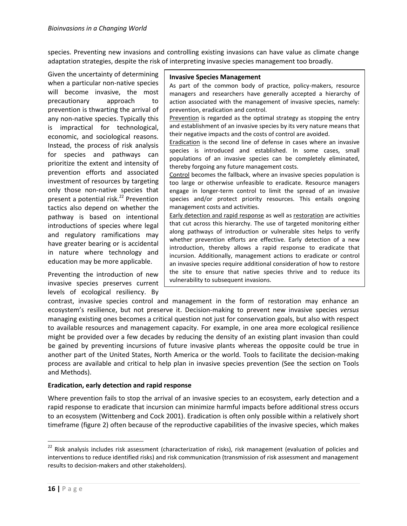species. Preventing new invasions and controlling existing invasions can have value as climate change adaptation strategies, despite the risk of interpreting invasive species management too broadly.

Given the uncertainty of determining when a particular non-native species will become invasive, the most precautionary approach to prevention is thwarting the arrival of any non-native species. Typically this is impractical for technological, economic, and sociological reasons. Instead, the process of risk analysis for species and pathways can prioritize the extent and intensity of prevention efforts and associated investment of resources by targeting only those non-native species that present a potential risk. <sup>22</sup> Prevention tactics also depend on whether the pathway is based on intentional introductions of species where legal and regulatory ramifications may have greater bearing or is accidental in nature where technology and education may be more applicable.

Preventing the introduction of new invasive species preserves current levels of ecological resiliency. By

#### **Invasive Species Management**

As part of the common body of practice, policy-makers, resource managers and researchers have generally accepted a hierarchy of action associated with the management of invasive species, namely: prevention, eradication and control.

Prevention is regarded as the optimal strategy as stopping the entry and establishment of an invasive species by its very nature means that their negative impacts and the costs of control are avoided.

Eradication is the second line of defense in cases where an invasive species is introduced and established. In some cases, small populations of an invasive species can be completely eliminated, thereby forgoing any future management costs.

Control becomes the fallback, where an invasive species population is too large or otherwise unfeasible to eradicate. Resource managers engage in longer-term control to limit the spread of an invasive species and/or protect priority resources. This entails ongoing management costs and activities.

Early detection and rapid response as well as restoration are activities that cut across this hierarchy. The use of targeted monitoring either along pathways of introduction or vulnerable sites helps to verify whether prevention efforts are effective. Early detection of a new introduction, thereby allows a rapid response to eradicate that incursion. Additionally, management actions to eradicate or control an invasive species require additional consideration of how to restore the site to ensure that native species thrive and to reduce its vulnerability to subsequent invasions.

contrast, invasive species control and management in the form of restoration may enhance an ecosystem's resilience, but not preserve it. Decision-making to prevent new invasive species *versus* managing existing ones becomes a critical question not just for conservation goals, but also with respect to available resources and management capacity. For example, in one area more ecological resilience might be provided over a few decades by reducing the density of an existing plant invasion than could be gained by preventing incursions of future invasive plants whereas the opposite could be true in another part of the United States, North America or the world. Tools to facilitate the decision-making process are available and critical to help plan in invasive species prevention (See the section on Tools and Methods).

#### **Eradication, early detection and rapid response**

Where prevention fails to stop the arrival of an invasive species to an ecosystem, early detection and a rapid response to eradicate that incursion can minimize harmful impacts before additional stress occurs to an ecosystem (Wittenberg and Cock 2001). Eradication is often only possible within a relatively short timeframe (figure 2) often because of the reproductive capabilities of the invasive species, which makes

 $22$  Risk analysis includes risk assessment (characterization of risks), risk management (evaluation of policies and interventions to reduce identified risks) and risk communication (transmission of risk assessment and management results to decision-makers and other stakeholders).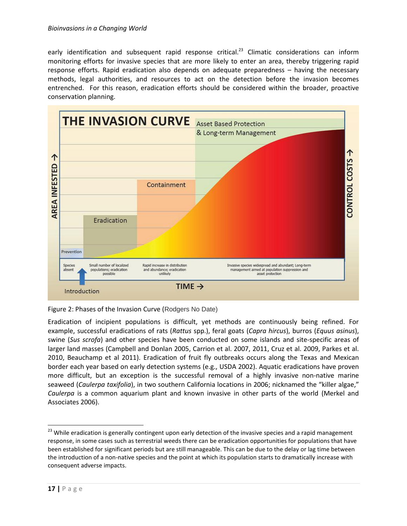early identification and subsequent rapid response critical.<sup>23</sup> Climatic considerations can inform monitoring efforts for invasive species that are more likely to enter an area, thereby triggering rapid response efforts. Rapid eradication also depends on adequate preparedness – having the necessary methods, legal authorities, and resources to act on the detection before the invasion becomes entrenched. For this reason, eradication efforts should be considered within the broader, proactive conservation planning.



Figure 2: Phases of the Invasion Curve (Rodgers No Date)

Eradication of incipient populations is difficult, yet methods are continuously being refined. For example, successful eradications of rats (*Rattus* spp.), feral goats (*Capra hircus*), burros (*Equus asinus*), swine (*Sus scrofa*) and other species have been conducted on some islands and site-specific areas of larger land masses (Campbell and Donlan 2005, Carrion et al. 2007, 2011, Cruz et al. 2009, Parkes et al. 2010, Beauchamp et al 2011). Eradication of fruit fly outbreaks occurs along the Texas and Mexican border each year based on early detection systems (e.g., USDA 2002). Aquatic eradications have proven more difficult, but an exception is the successful removal of a highly invasive non-native marine seaweed (*Caulerpa taxifolia*), in two southern California locations in 2006; nicknamed the "killer algae," *Caulerpa* is a common aquarium plant and known invasive in other parts of the world (Merkel and Associates 2006).

<sup>&</sup>lt;sup>23</sup> While eradication is generally contingent upon early detection of the invasive species and a rapid management response, in some cases such as terrestrial weeds there can be eradication opportunities for populations that have been established for significant periods but are still manageable. This can be due to the delay or lag time between the introduction of a non-native species and the point at which its population starts to dramatically increase with consequent adverse impacts.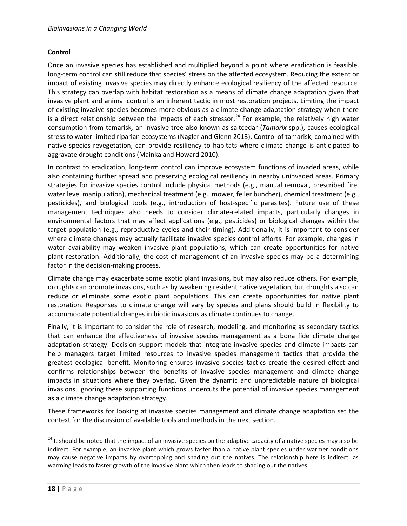#### **Control**

Once an invasive species has established and multiplied beyond a point where eradication is feasible, long-term control can still reduce that species' stress on the affected ecosystem. Reducing the extent or impact of existing invasive species may directly enhance ecological resiliency of the affected resource. This strategy can overlap with habitat restoration as a means of climate change adaptation given that invasive plant and animal control is an inherent tactic in most restoration projects. Limiting the impact of existing invasive species becomes more obvious as a climate change adaptation strategy when there is a direct relationship between the impacts of each stressor.<sup>24</sup> For example, the relatively high water consumption from tamarisk*,* an invasive tree also known as saltcedar (*Tamarix* spp.), causes ecological stress to water-limited riparian ecosystems (Nagler and Glenn 2013). Control of tamarisk, combined with native species revegetation, can provide resiliency to habitats where climate change is anticipated to aggravate drought conditions (Mainka and Howard 2010).

In contrast to eradication, long-term control can improve ecosystem functions of invaded areas, while also containing further spread and preserving ecological resiliency in nearby uninvaded areas. Primary strategies for invasive species control include physical methods (e.g., manual removal, prescribed fire, water level manipulation), mechanical treatment (e.g., mower, feller buncher), chemical treatment (e.g., pesticides), and biological tools (e.g., introduction of host-specific parasites). Future use of these management techniques also needs to consider climate-related impacts, particularly changes in environmental factors that may affect applications (e.g., pesticides) or biological changes within the target population (e.g., reproductive cycles and their timing). Additionally, it is important to consider where climate changes may actually facilitate invasive species control efforts. For example, changes in water availability may weaken invasive plant populations, which can create opportunities for native plant restoration. Additionally, the cost of management of an invasive species may be a determining factor in the decision-making process.

Climate change may exacerbate some exotic plant invasions, but may also reduce others. For example, droughts can promote invasions, such as by weakening resident native vegetation, but droughts also can reduce or eliminate some exotic plant populations. This can create opportunities for native plant restoration. Responses to climate change will vary by species and plans should build in flexibility to accommodate potential changes in biotic invasions as climate continues to change.

Finally, it is important to consider the role of research, modeling, and monitoring as secondary tactics that can enhance the effectiveness of invasive species management as a bona fide climate change adaptation strategy. Decision support models that integrate invasive species and climate impacts can help managers target limited resources to invasive species management tactics that provide the greatest ecological benefit. Monitoring ensures invasive species tactics create the desired effect and confirms relationships between the benefits of invasive species management and climate change impacts in situations where they overlap. Given the dynamic and unpredictable nature of biological invasions, ignoring these supporting functions undercuts the potential of invasive species management as a climate change adaptation strategy.

These frameworks for looking at invasive species management and climate change adaptation set the context for the discussion of available tools and methods in the next section.

 $\overline{a}$ 

<sup>&</sup>lt;sup>24</sup> It should be noted that the impact of an invasive species on the adaptive capacity of a native species may also be indirect. For example, an invasive plant which grows faster than a native plant species under warmer conditions may cause negative impacts by overtopping and shading out the natives. The relationship here is indirect, as warming leads to faster growth of the invasive plant which then leads to shading out the natives.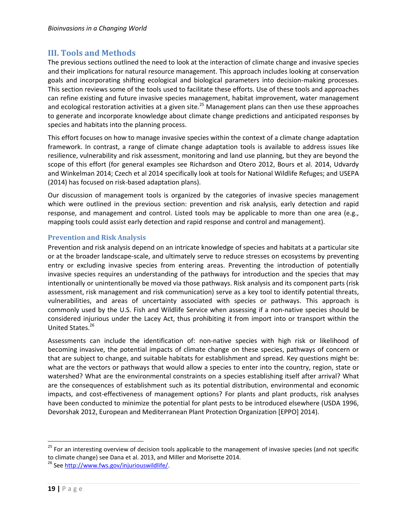## <span id="page-21-0"></span>**III. Tools and Methods**

The previous sections outlined the need to look at the interaction of climate change and invasive species and their implications for natural resource management. This approach includes looking at conservation goals and incorporating shifting ecological and biological parameters into decision-making processes. This section reviews some of the tools used to facilitate these efforts. Use of these tools and approaches can refine existing and future invasive species management, habitat improvement, water management and ecological restoration activities at a given site.<sup>25</sup> Management plans can then use these approaches to generate and incorporate knowledge about climate change predictions and anticipated responses by species and habitats into the planning process.

This effort focuses on how to manage invasive species within the context of a climate change adaptation framework. In contrast, a range of climate change adaptation tools is available to address issues like resilience, vulnerability and risk assessment, monitoring and land use planning, but they are beyond the scope of this effort (for general examples see Richardson and Otero 2012, Bours et al. 2014, Udvardy and Winkelman 2014; Czech et al 2014 specifically look at tools for National Wildlife Refuges; and USEPA (2014) has focused on risk-based adaptation plans).

Our discussion of management tools is organized by the categories of invasive species management which were outlined in the previous section: prevention and risk analysis, early detection and rapid response, and management and control. Listed tools may be applicable to more than one area (e.g., mapping tools could assist early detection and rapid response and control and management).

### <span id="page-21-1"></span>**Prevention and Risk Analysis**

Prevention and risk analysis depend on an intricate knowledge of species and habitats at a particular site or at the broader landscape-scale, and ultimately serve to reduce stresses on ecosystems by preventing entry or excluding invasive species from entering areas. Preventing the introduction of potentially invasive species requires an understanding of the pathways for introduction and the species that may intentionally or unintentionally be moved via those pathways. Risk analysis and its component parts (risk assessment, risk management and risk communication) serve as a key tool to identify potential threats, vulnerabilities, and areas of uncertainty associated with species or pathways. This approach is commonly used by the U.S. Fish and Wildlife Service when assessing if a non-native species should be considered injurious under the Lacey Act, thus prohibiting it from import into or transport within the United States.<sup>26</sup>

Assessments can include the identification of: non-native species with high risk or likelihood of becoming invasive, the potential impacts of climate change on these species, pathways of concern or that are subject to change, and suitable habitats for establishment and spread. Key questions might be: what are the vectors or pathways that would allow a species to enter into the country, region, state or watershed? What are the environmental constraints on a species establishing itself after arrival? What are the consequences of establishment such as its potential distribution, environmental and economic impacts, and cost-effectiveness of management options? For plants and plant products, risk analyses have been conducted to minimize the potential for plant pests to be introduced elsewhere (USDA 1996, Devorshak 2012, European and Mediterranean Plant Protection Organization [EPPO] 2014).

<sup>&</sup>lt;sup>25</sup> For an interesting overview of decision tools applicable to the management of invasive species (and not specific to climate change) see Dana et al. 2013, and Miller and Morisette 2014.

<sup>&</sup>lt;sup>26</sup> Se[e http://www.fws.gov/injuriouswildlife/.](http://www.fws.gov/injuriouswildlife/)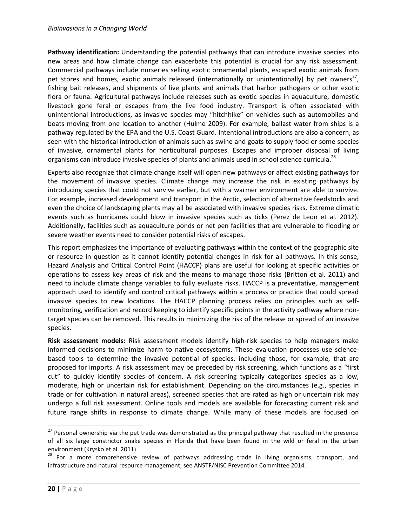#### *Bioinvasions in a Changing World*

**Pathway identification:** Understanding the potential pathways that can introduce invasive species into new areas and how climate change can exacerbate this potential is crucial for any risk assessment. Commercial pathways include nurseries selling exotic ornamental plants, escaped exotic animals from pet stores and homes, exotic animals released (internationally or unintentionally) by pet owners<sup>27</sup>, fishing bait releases, and shipments of live plants and animals that harbor pathogens or other exotic flora or fauna. Agricultural pathways include releases such as exotic species in aquaculture, domestic livestock gone feral or escapes from the live food industry. Transport is often associated with unintentional introductions, as invasive species may "hitchhike" on vehicles such as automobiles and boats moving from one location to another (Hulme 2009). For example, ballast water from ships is a pathway regulated by the EPA and the U.S. Coast Guard. Intentional introductions are also a concern, as seen with the historical introduction of animals such as swine and goats to supply food or some species of invasive, ornamental plants for horticultural purposes. Escapes and improper disposal of living organisms can introduce invasive species of plants and animals used in school science curricula.<sup>28</sup>

Experts also recognize that climate change itself will open new pathways or affect existing pathways for the movement of invasive species. Climate change may increase the risk in existing pathways by introducing species that could not survive earlier, but with a warmer environment are able to survive. For example, increased development and transport in the Arctic, selection of alternative feedstocks and even the choice of landscaping plants may all be associated with invasive species risks. Extreme climatic events such as hurricanes could blow in invasive species such as ticks (Perez de Leon et al. 2012). Additionally, facilities such as aquaculture ponds or net pen facilities that are vulnerable to flooding or severe weather events need to consider potential risks of escapes.

This report emphasizes the importance of evaluating pathways within the context of the geographic site or resource in question as it cannot identify potential changes in risk for all pathways. In this sense, Hazard Analysis and Critical Control Point (HACCP) plans are useful for looking at specific activities or operations to assess key areas of risk and the means to manage those risks (Britton et al. 2011) and need to include climate change variables to fully evaluate risks. HACCP is a preventative, management approach used to identify and control critical pathways within a process or practice that could spread invasive species to new locations. The HACCP planning process relies on principles such as selfmonitoring, verification and record keeping to identify specific points in the activity pathway where nontarget species can be removed. This results in minimizing the risk of the release or spread of an invasive species.

**Risk assessment models:** Risk assessment models identify high-risk species to help managers make informed decisions to minimize harm to native ecosystems. These evaluation processes use sciencebased tools to determine the invasive potential of species, including those, for example, that are proposed for imports. A risk assessment may be preceded by risk screening, which functions as a "first cut" to quickly identify species of concern. A risk screening typically categorizes species as a low, moderate, high or uncertain risk for establishment. Depending on the circumstances (e.g., species in trade or for cultivation in natural areas), screened species that are rated as high or uncertain risk may undergo a full risk assessment. Online tools and models are available for forecasting current risk and future range shifts in response to climate change. While many of these models are focused on

<sup>&</sup>lt;sup>27</sup> Personal ownership via the pet trade was demonstrated as the principal pathway that resulted in the presence of all six large constrictor snake species in Florida that have been found in the wild or feral in the urban environment (Krysko et al. 2011).

 $28$  For a more comprehensive review of pathways addressing trade in living organisms, transport, and infrastructure and natural resource management, see ANSTF/NISC Prevention Committee 2014.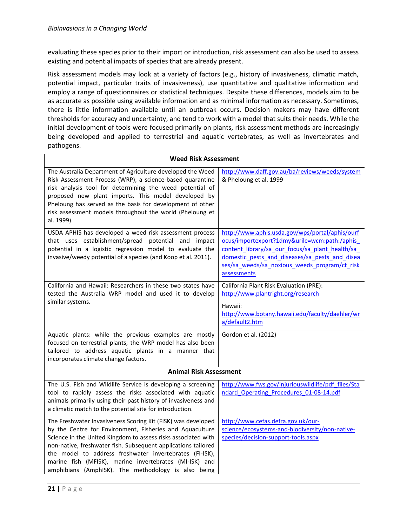evaluating these species prior to their import or introduction, risk assessment can also be used to assess existing and potential impacts of species that are already present.

Risk assessment models may look at a variety of factors (e.g., history of invasiveness, climatic match, potential impact, particular traits of invasiveness), use quantitative and qualitative information and employ a range of questionnaires or statistical techniques. Despite these differences, models aim to be as accurate as possible using available information and as minimal information as necessary. Sometimes, there is little information available until an outbreak occurs. Decision makers may have different thresholds for accuracy and uncertainty, and tend to work with a model that suits their needs. While the initial development of tools were focused primarily on plants, risk assessment methods are increasingly being developed and applied to terrestrial and aquatic vertebrates, as well as invertebrates and pathogens.

#### **Weed Risk Assessment**

| The Australia Department of Agriculture developed the Weed<br>Risk Assessment Process (WRP), a science-based quarantine<br>risk analysis tool for determining the weed potential of<br>proposed new plant imports. This model developed by<br>Pheloung has served as the basis for development of other<br>risk assessment models throughout the world (Pheloung et<br>al. 1999).                                                      | http://www.daff.gov.au/ba/reviews/weeds/system<br>& Pheloung et al. 1999                                                                                                                                                                                             |
|----------------------------------------------------------------------------------------------------------------------------------------------------------------------------------------------------------------------------------------------------------------------------------------------------------------------------------------------------------------------------------------------------------------------------------------|----------------------------------------------------------------------------------------------------------------------------------------------------------------------------------------------------------------------------------------------------------------------|
| USDA APHIS has developed a weed risk assessment process<br>that uses establishment/spread potential and impact<br>potential in a logistic regression model to evaluate the<br>invasive/weedy potential of a species (and Koop et al. 2011).                                                                                                                                                                                            | http://www.aphis.usda.gov/wps/portal/aphis/ourf<br>ocus/importexport?1dmy&urile=wcm:path:/aphis<br>content library/sa our focus/sa plant health/sa<br>domestic pests and diseases/sa pests and disea<br>ses/sa weeds/sa noxious weeds program/ct risk<br>assessments |
| California and Hawaii: Researchers in these two states have<br>tested the Australia WRP model and used it to develop<br>similar systems.                                                                                                                                                                                                                                                                                               | California Plant Risk Evaluation (PRE):<br>http://www.plantright.org/research<br>Hawaii:<br>http://www.botany.hawaii.edu/faculty/daehler/wr<br>a/default2.htm                                                                                                        |
| Aquatic plants: while the previous examples are mostly<br>focused on terrestrial plants, the WRP model has also been<br>tailored to address aquatic plants in a manner that<br>incorporates climate change factors.                                                                                                                                                                                                                    | Gordon et al. (2012)                                                                                                                                                                                                                                                 |
| <b>Animal Risk Assessment</b>                                                                                                                                                                                                                                                                                                                                                                                                          |                                                                                                                                                                                                                                                                      |
| The U.S. Fish and Wildlife Service is developing a screening<br>tool to rapidly assess the risks associated with aquatic<br>animals primarily using their past history of invasiveness and<br>a climatic match to the potential site for introduction.                                                                                                                                                                                 | http://www.fws.gov/injuriouswildlife/pdf files/Sta<br>ndard Operating Procedures 01-08-14.pdf                                                                                                                                                                        |
| The Freshwater Invasiveness Scoring Kit (FISK) was developed<br>by the Centre for Environment, Fisheries and Aquaculture<br>Science in the United Kingdom to assess risks associated with<br>non-native, freshwater fish. Subsequent applications tailored<br>the model to address freshwater invertebrates (FI-ISK),<br>marine fish (MFISK), marine invertebrates (MI-ISK) and<br>amphibians (AmphISK). The methodology is also being | http://www.cefas.defra.gov.uk/our-<br>science/ecosystems-and-biodiversity/non-native-<br>species/decision-support-tools.aspx                                                                                                                                         |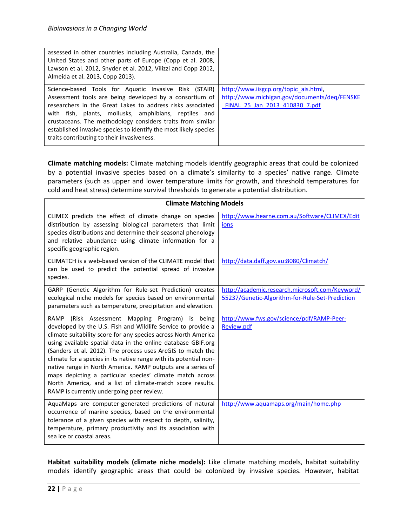| assessed in other countries including Australia, Canada, the<br>United States and other parts of Europe (Copp et al. 2008,<br>Lawson et al. 2012, Snyder et al. 2012, Vilizzi and Copp 2012,<br>Almeida et al. 2013, Copp 2013).                                                                                                                                                                                        |                                                                                                                         |
|-------------------------------------------------------------------------------------------------------------------------------------------------------------------------------------------------------------------------------------------------------------------------------------------------------------------------------------------------------------------------------------------------------------------------|-------------------------------------------------------------------------------------------------------------------------|
| Science-based Tools for Aquatic Invasive Risk (STAIR)<br>Assessment tools are being developed by a consortium of<br>researchers in the Great Lakes to address risks associated<br>with fish, plants, mollusks, amphibians, reptiles and<br>crustaceans. The methodology considers traits from similar<br>established invasive species to identify the most likely species<br>traits contributing to their invasiveness. | http://www.iisgcp.org/topic ais.html,<br>http://www.michigan.gov/documents/deq/FENSKE<br>FINAL 25 Jan 2013 410830 7.pdf |

**Climate matching models:** Climate matching models identify geographic areas that could be colonized by a potential invasive species based on a climate's similarity to a species' native range. Climate parameters (such as upper and lower temperature limits for growth, and threshold temperatures for cold and heat stress) determine survival thresholds to generate a potential distribution.

| <b>Climate Matching Models</b>                                                                                                                                                                                                                                                                                                                                                                                                                                                                                                                                                                                              |                                                                                                    |
|-----------------------------------------------------------------------------------------------------------------------------------------------------------------------------------------------------------------------------------------------------------------------------------------------------------------------------------------------------------------------------------------------------------------------------------------------------------------------------------------------------------------------------------------------------------------------------------------------------------------------------|----------------------------------------------------------------------------------------------------|
| CLIMEX predicts the effect of climate change on species<br>distribution by assessing biological parameters that limit<br>species distributions and determine their seasonal phenology<br>and relative abundance using climate information for a<br>specific geographic region.                                                                                                                                                                                                                                                                                                                                              | http://www.hearne.com.au/Software/CLIMEX/Edit<br>ions                                              |
| CLIMATCH is a web-based version of the CLIMATE model that<br>can be used to predict the potential spread of invasive<br>species.                                                                                                                                                                                                                                                                                                                                                                                                                                                                                            | http://data.daff.gov.au:8080/Climatch/                                                             |
| GARP (Genetic Algorithm for Rule-set Prediction) creates<br>ecological niche models for species based on environmental<br>parameters such as temperature, precipitation and elevation.                                                                                                                                                                                                                                                                                                                                                                                                                                      | http://academic.research.microsoft.com/Keyword/<br>55237/Genetic-Algorithm-for-Rule-Set-Prediction |
| RAMP (Risk Assessment Mapping Program) is being<br>developed by the U.S. Fish and Wildlife Service to provide a<br>climate suitability score for any species across North America<br>using available spatial data in the online database GBIF.org<br>(Sanders et al. 2012). The process uses ArcGIS to match the<br>climate for a species in its native range with its potential non-<br>native range in North America. RAMP outputs are a series of<br>maps depicting a particular species' climate match across<br>North America, and a list of climate-match score results.<br>RAMP is currently undergoing peer review. | http://www.fws.gov/science/pdf/RAMP-Peer-<br>Review.pdf                                            |
| AquaMaps are computer-generated predictions of natural<br>occurrence of marine species, based on the environmental<br>tolerance of a given species with respect to depth, salinity,<br>temperature, primary productivity and its association with<br>sea ice or coastal areas.                                                                                                                                                                                                                                                                                                                                              | http://www.aquamaps.org/main/home.php                                                              |

**Habitat suitability models (climate niche models):** Like climate matching models, habitat suitability models identify geographic areas that could be colonized by invasive species. However, habitat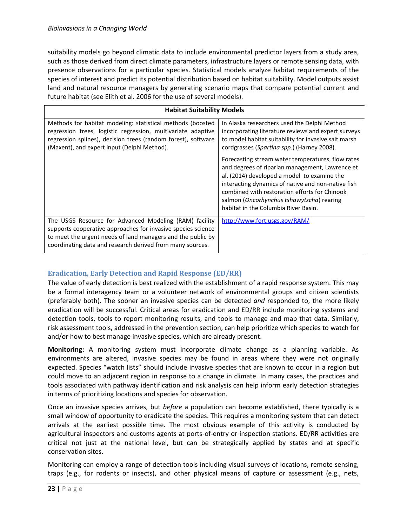suitability models go beyond climatic data to include environmental predictor layers from a study area, such as those derived from direct climate parameters, infrastructure layers or remote sensing data, with presence observations for a particular species. Statistical models analyze habitat requirements of the species of interest and predict its potential distribution based on habitat suitability. Model outputs assist land and natural resource managers by generating scenario maps that compare potential current and future habitat (see Elith et al. 2006 for the use of several models).

| <b>Habitat Suitability Models</b>                                                                                                                                                                                                                  |                                                                                                                                                                                                                                                                                                                                                 |
|----------------------------------------------------------------------------------------------------------------------------------------------------------------------------------------------------------------------------------------------------|-------------------------------------------------------------------------------------------------------------------------------------------------------------------------------------------------------------------------------------------------------------------------------------------------------------------------------------------------|
| Methods for habitat modeling: statistical methods (boosted<br>regression trees, logistic regression, multivariate adaptive<br>regression splines), decision trees (random forest), software<br>(Maxent), and expert input (Delphi Method).         | In Alaska researchers used the Delphi Method<br>incorporating literature reviews and expert surveys<br>to model habitat suitability for invasive salt marsh<br>cordgrasses (Spartina spp.) (Harney 2008).                                                                                                                                       |
|                                                                                                                                                                                                                                                    | Forecasting stream water temperatures, flow rates<br>and degrees of riparian management, Lawrence et<br>al. (2014) developed a model to examine the<br>interacting dynamics of native and non-native fish<br>combined with restoration efforts for Chinook<br>salmon (Oncorhynchus tshawytscha) rearing<br>habitat in the Columbia River Basin. |
| The USGS Resource for Advanced Modeling (RAM) facility<br>supports cooperative approaches for invasive species science<br>to meet the urgent needs of land managers and the public by<br>coordinating data and research derived from many sources. | http://www.fort.usgs.gov/RAM/                                                                                                                                                                                                                                                                                                                   |

#### <span id="page-25-0"></span>**Eradication, Early Detection and Rapid Response (ED/RR)**

The value of early detection is best realized with the establishment of a rapid response system. This may be a formal interagency team or a volunteer network of environmental groups and citizen scientists (preferably both). The sooner an invasive species can be detected *and* responded to, the more likely eradication will be successful. Critical areas for eradication and ED/RR include monitoring systems and detection tools, tools to report monitoring results, and tools to manage and map that data. Similarly, risk assessment tools, addressed in the prevention section, can help prioritize which species to watch for and/or how to best manage invasive species, which are already present.

**Monitoring:** A monitoring system must incorporate climate change as a planning variable. As environments are altered, invasive species may be found in areas where they were not originally expected. Species "watch lists" should include invasive species that are known to occur in a region but could move to an adjacent region in response to a change in climate. In many cases, the practices and tools associated with pathway identification and risk analysis can help inform early detection strategies in terms of prioritizing locations and species for observation.

Once an invasive species arrives, but *before* a population can become established, there typically is a small window of opportunity to eradicate the species. This requires a monitoring system that can detect arrivals at the earliest possible time. The most obvious example of this activity is conducted by agricultural inspectors and customs agents at ports-of-entry or inspection stations. ED/RR activities are critical not just at the national level, but can be strategically applied by states and at specific conservation sites.

Monitoring can employ a range of detection tools including visual surveys of locations, remote sensing, traps (e.g., for rodents or insects), and other physical means of capture or assessment (e.g., nets,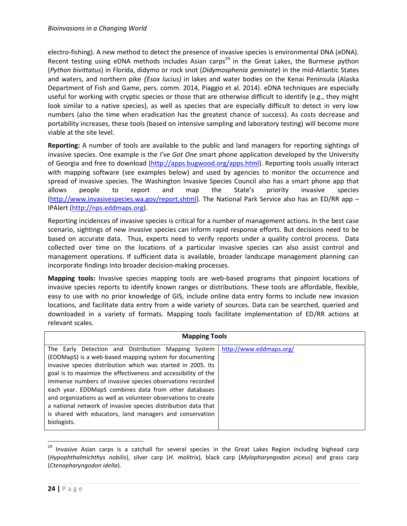electro-fishing). A new method to detect the presence of invasive species is environmental DNA (eDNA). Recent testing using eDNA methods includes Asian carps<sup>29</sup> in the Great Lakes, the Burmese python (*Python bivittatus*) in Florida, didymo or rock snot (*Didymosphenia geminate*) in the mid-Atlantic States and waters, and northern pike *(Esox lucius)* in lakes and water bodies on the Kenai Peninsula (Alaska Department of Fish and Game, pers. comm. 2014, Piaggio et al. 2014). eDNA techniques are especially useful for working with cryptic species or those that are otherwise difficult to identify (e.g., they might look similar to a native species), as well as species that are especially difficult to detect in very low numbers (also the time when eradication has the greatest chance of success). As costs decrease and portability increases, these tools (based on intensive sampling and laboratory testing) will become more viable at the site level.

**Reporting:** A number of tools are available to the public and land managers for reporting sightings of invasive species. One example is the *I've Got One* smart phone application developed by the University of Georgia and free to download [\(http://apps.bugwood.org/apps.html\)](http://apps.bugwood.org/apps.html). Reporting tools usually interact with mapping software (see examples below) and used by agencies to monitor the occurrence and spread of invasive species. The Washington Invasive Species Council also has a smart phone app that allows people to report and map the State's priority invasive species [\(http://www.invasivespecies.wa.gov/report.shtml\)](http://www.invasivespecies.wa.gov/report.shtml). The National Park Service also has an ED/RR app – IPAlert [\(http://nps.eddmaps.org\)](http://nps.eddmaps.org/).

Reporting incidences of invasive species is critical for a number of management actions. In the best case scenario, sightings of new invasive species can inform rapid response efforts. But decisions need to be based on accurate data. Thus, experts need to verify reports under a quality control process. Data collected over time on the locations of a particular invasive species can also assist control and management operations. If sufficient data is available, broader landscape management planning can incorporate findings into broader decision-making processes.

**Mapping tools:** Invasive species mapping tools are web-based programs that pinpoint locations of invasive species reports to identify known ranges or distributions. These tools are affordable, flexible, easy to use with no prior knowledge of GIS, include online data entry forms to include new invasion locations, and facilitate data entry from a wide variety of sources. Data can be searched, queried and downloaded in a variety of formats. Mapping tools facilitate implementation of ED/RR actions at relevant scales.

| <b>Mapping Tools</b>                                                                                                                                                                                                                                                                                                                                                                                                                    |                         |  |
|-----------------------------------------------------------------------------------------------------------------------------------------------------------------------------------------------------------------------------------------------------------------------------------------------------------------------------------------------------------------------------------------------------------------------------------------|-------------------------|--|
| The Early Detection and Distribution Mapping System<br>(EDDMapS) is a web-based mapping system for documenting<br>invasive species distribution which was started in 2005. Its<br>goal is to maximize the effectiveness and accessibility of the<br>immense numbers of invasive species observations recorded<br>each year. EDDMapS combines data from other databases<br>and organizations as well as volunteer observations to create | http://www.eddmaps.org/ |  |
| a national network of invasive species distribution data that<br>is shared with educators, land managers and conservation<br>biologists.                                                                                                                                                                                                                                                                                                |                         |  |

<sup>&</sup>lt;sup>29</sup> Invasive Asian carps is a catchall for several species in the Great Lakes Region including bighead carp (*Hypophthalmichthys nobilis*), silver carp (*H. molitrix*), black carp (*Mylopharyngodon piceus*) and grass carp (*Ctenopharyngodon idella*).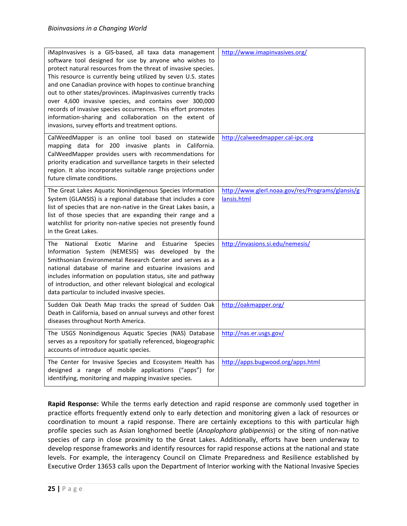| iMapInvasives is a GIS-based, all taxa data management<br>software tool designed for use by anyone who wishes to<br>protect natural resources from the threat of invasive species.<br>This resource is currently being utilized by seven U.S. states<br>and one Canadian province with hopes to continue branching<br>out to other states/provinces. iMapInvasives currently tracks<br>over 4,600 invasive species, and contains over 300,000<br>records of invasive species occurrences. This effort promotes<br>information-sharing and collaboration on the extent of<br>invasions, survey efforts and treatment options. | http://www.imapinvasives.org/                                   |
|------------------------------------------------------------------------------------------------------------------------------------------------------------------------------------------------------------------------------------------------------------------------------------------------------------------------------------------------------------------------------------------------------------------------------------------------------------------------------------------------------------------------------------------------------------------------------------------------------------------------------|-----------------------------------------------------------------|
| CalWeedMapper is an online tool based on statewide<br>mapping data for 200 invasive plants in California.<br>CalWeedMapper provides users with recommendations for<br>priority eradication and surveillance targets in their selected<br>region. It also incorporates suitable range projections under<br>future climate conditions.                                                                                                                                                                                                                                                                                         | http://calweedmapper.cal-ipc.org                                |
| The Great Lakes Aquatic Nonindigenous Species Information<br>System (GLANSIS) is a regional database that includes a core<br>list of species that are non-native in the Great Lakes basin, a<br>list of those species that are expanding their range and a<br>watchlist for priority non-native species not presently found<br>in the Great Lakes.                                                                                                                                                                                                                                                                           | http://www.glerl.noaa.gov/res/Programs/glansis/g<br>lansis.html |
| National<br>Exotic Marine<br>The<br>and<br>Estuarine<br><b>Species</b><br>Information System (NEMESIS) was developed by the<br>Smithsonian Environmental Research Center and serves as a<br>national database of marine and estuarine invasions and<br>includes information on population status, site and pathway<br>of introduction, and other relevant biological and ecological<br>data particular to included invasive species.                                                                                                                                                                                         | http://invasions.si.edu/nemesis/                                |
| Sudden Oak Death Map tracks the spread of Sudden Oak<br>Death in California, based on annual surveys and other forest<br>diseases throughout North America.                                                                                                                                                                                                                                                                                                                                                                                                                                                                  | http://oakmapper.org/                                           |
| The USGS Nonindigenous Aquatic Species (NAS) Database<br>serves as a repository for spatially referenced, biogeographic<br>accounts of introduce aquatic species.                                                                                                                                                                                                                                                                                                                                                                                                                                                            | http://nas.er.usgs.gov/                                         |
| The Center for Invasive Species and Ecosystem Health has<br>designed a range of mobile applications ("apps") for<br>identifying, monitoring and mapping invasive species.                                                                                                                                                                                                                                                                                                                                                                                                                                                    | http://apps.bugwood.org/apps.html                               |

**Rapid Response:** While the terms early detection and rapid response are commonly used together in practice efforts frequently extend only to early detection and monitoring given a lack of resources or coordination to mount a rapid response. There are certainly exceptions to this with particular high profile species such as Asian longhorned beetle (*Anoplophora glabipennis*) or the siting of non-native species of carp in close proximity to the Great Lakes. Additionally, efforts have been underway to develop response frameworks and identify resources for rapid response actions at the national and state levels. For example, the interagency Council on Climate Preparedness and Resilience established by Executive Order 13653 calls upon the Department of Interior working with the National Invasive Species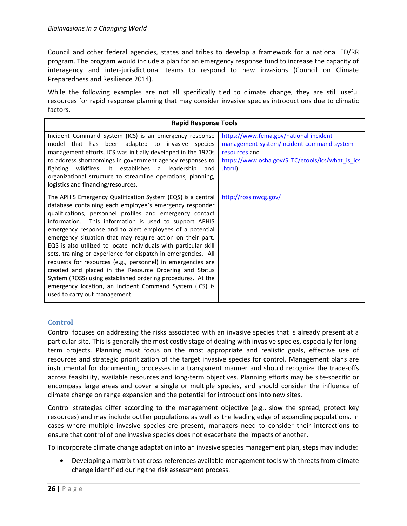Council and other federal agencies, states and tribes to develop a framework for a national ED/RR program. The program would include a plan for an emergency response fund to increase the capacity of interagency and inter-jurisdictional teams to respond to new invasions (Council on Climate Preparedness and Resilience 2014).

While the following examples are not all specifically tied to climate change, they are still useful resources for rapid response planning that may consider invasive species introductions due to climatic factors.

| <b>Rapid Response Tools</b>                                                                                                                                                                                                                                                                                                                                                                                                                                                                                                                                                                                                                                                                                                                                                                     |                                                                                                                                                                      |
|-------------------------------------------------------------------------------------------------------------------------------------------------------------------------------------------------------------------------------------------------------------------------------------------------------------------------------------------------------------------------------------------------------------------------------------------------------------------------------------------------------------------------------------------------------------------------------------------------------------------------------------------------------------------------------------------------------------------------------------------------------------------------------------------------|----------------------------------------------------------------------------------------------------------------------------------------------------------------------|
| Incident Command System (ICS) is an emergency response<br>model that has been adapted to invasive species<br>management efforts. ICS was initially developed in the 1970s<br>to address shortcomings in government agency responses to<br>fighting wildfires. It establishes a leadership<br>and<br>organizational structure to streamline operations, planning,<br>logistics and financing/resources.                                                                                                                                                                                                                                                                                                                                                                                          | https://www.fema.gov/national-incident-<br>management-system/incident-command-system-<br>resources and<br>https://www.osha.gov/SLTC/etools/ics/what is ics<br>.html) |
| The APHIS Emergency Qualification System (EQS) is a central<br>database containing each employee's emergency responder<br>qualifications, personnel profiles and emergency contact<br>information. This information is used to support APHIS<br>emergency response and to alert employees of a potential<br>emergency situation that may require action on their part.<br>EQS is also utilized to locate individuals with particular skill<br>sets, training or experience for dispatch in emergencies. All<br>requests for resources (e.g., personnel) in emergencies are<br>created and placed in the Resource Ordering and Status<br>System (ROSS) using established ordering procedures. At the<br>emergency location, an Incident Command System (ICS) is<br>used to carry out management. | http://ross.nwcg.gov/                                                                                                                                                |

#### <span id="page-28-0"></span>**Control**

Control focuses on addressing the risks associated with an invasive species that is already present at a particular site. This is generally the most costly stage of dealing with invasive species, especially for longterm projects. Planning must focus on the most appropriate and realistic goals, effective use of resources and strategic prioritization of the target invasive species for control. Management plans are instrumental for documenting processes in a transparent manner and should recognize the trade-offs across feasibility, available resources and long-term objectives. Planning efforts may be site-specific or encompass large areas and cover a single or multiple species, and should consider the influence of climate change on range expansion and the potential for introductions into new sites.

Control strategies differ according to the management objective (e.g., slow the spread, protect key resources) and may include outlier populations as well as the leading edge of expanding populations. In cases where multiple invasive species are present, managers need to consider their interactions to ensure that control of one invasive species does not exacerbate the impacts of another.

To incorporate climate change adaptation into an invasive species management plan, steps may include:

 Developing a matrix that cross-references available management tools with threats from climate change identified during the risk assessment process.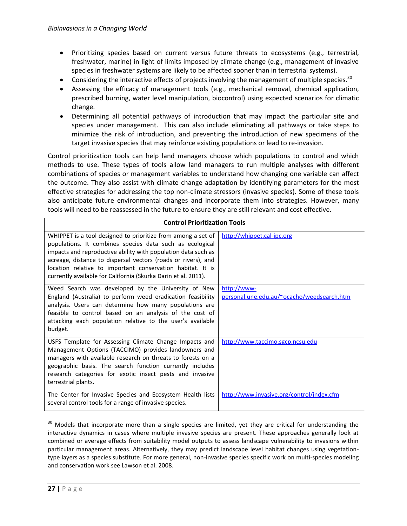- Prioritizing species based on current versus future threats to ecosystems (e.g., terrestrial, freshwater, marine) in light of limits imposed by climate change (e.g., management of invasive species in freshwater systems are likely to be affected sooner than in terrestrial systems).
- Considering the interactive effects of projects involving the management of multiple species.<sup>30</sup>
- Assessing the efficacy of management tools (e.g., mechanical removal, chemical application, prescribed burning, water level manipulation, biocontrol) using expected scenarios for climatic change.
- Determining all potential pathways of introduction that may impact the particular site and species under management. This can also include eliminating all pathways or take steps to minimize the risk of introduction, and preventing the introduction of new specimens of the target invasive species that may reinforce existing populations or lead to re-invasion.

Control prioritization tools can help land managers choose which populations to control and which methods to use. These types of tools allow land managers to run multiple analyses with different combinations of species or management variables to understand how changing one variable can affect the outcome. They also assist with climate change adaptation by identifying parameters for the most effective strategies for addressing the top non-climate stressors (invasive species). Some of these tools also anticipate future environmental changes and incorporate them into strategies. However, many tools will need to be reassessed in the future to ensure they are still relevant and cost effective.

| <b>Control Prioritization Tools</b>                                                                                                                                                                                                                                                                                                                                                        |                                                           |
|--------------------------------------------------------------------------------------------------------------------------------------------------------------------------------------------------------------------------------------------------------------------------------------------------------------------------------------------------------------------------------------------|-----------------------------------------------------------|
| WHIPPET is a tool designed to prioritize from among a set of<br>populations. It combines species data such as ecological<br>impacts and reproductive ability with population data such as<br>acreage, distance to dispersal vectors (roads or rivers), and<br>location relative to important conservation habitat. It is<br>currently available for California (Skurka Darin et al. 2011). | http://whippet.cal-ipc.org                                |
| Weed Search was developed by the University of New<br>England (Australia) to perform weed eradication feasibility<br>analysis. Users can determine how many populations are<br>feasible to control based on an analysis of the cost of<br>attacking each population relative to the user's available<br>budget.                                                                            | http://www-<br>personal.une.edu.au/~ocacho/weedsearch.htm |
| USFS Template for Assessing Climate Change Impacts and<br>Management Options (TACCIMO) provides landowners and<br>managers with available research on threats to forests on a<br>geographic basis. The search function currently includes<br>research categories for exotic insect pests and invasive<br>terrestrial plants.                                                               | http://www.taccimo.sgcp.ncsu.edu                          |
| The Center for Invasive Species and Ecosystem Health lists<br>several control tools for a range of invasive species.                                                                                                                                                                                                                                                                       | http://www.invasive.org/control/index.cfm                 |

l <sup>30</sup> Models that incorporate more than a single species are limited, yet they are critical for understanding the interactive dynamics in cases where multiple invasive species are present. These approaches generally look at combined or average effects from suitability model outputs to assess landscape vulnerability to invasions within particular management areas. Alternatively, they may predict landscape level habitat changes using vegetationtype layers as a species substitute. For more general, non-invasive species specific work on multi-species modeling and conservation work see Lawson et al. 2008.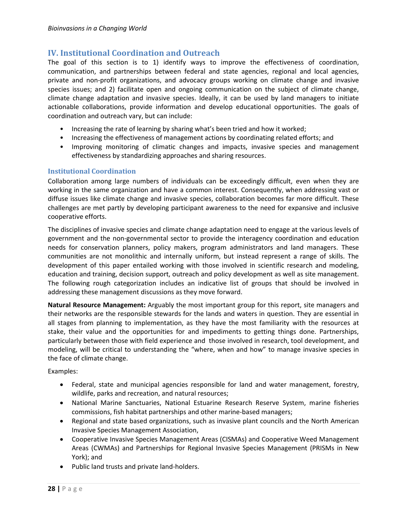## <span id="page-30-0"></span>**IV. Institutional Coordination and Outreach**

The goal of this section is to 1) identify ways to improve the effectiveness of coordination, communication, and partnerships between federal and state agencies, regional and local agencies, private and non-profit organizations, and advocacy groups working on climate change and invasive species issues; and 2) facilitate open and ongoing communication on the subject of climate change, climate change adaptation and invasive species. Ideally, it can be used by land managers to initiate actionable collaborations, provide information and develop educational opportunities. The goals of coordination and outreach vary, but can include:

- Increasing the rate of learning by sharing what's been tried and how it worked;
- Increasing the effectiveness of management actions by coordinating related efforts; and
- Improving monitoring of climatic changes and impacts, invasive species and management effectiveness by standardizing approaches and sharing resources.

#### <span id="page-30-1"></span>**Institutional Coordination**

Collaboration among large numbers of individuals can be exceedingly difficult, even when they are working in the same organization and have a common interest. Consequently, when addressing vast or diffuse issues like climate change and invasive species, collaboration becomes far more difficult. These challenges are met partly by developing participant awareness to the need for expansive and inclusive cooperative efforts.

The disciplines of invasive species and climate change adaptation need to engage at the various levels of government and the non-governmental sector to provide the interagency coordination and education needs for conservation planners, policy makers, program administrators and land managers. These communities are not monolithic and internally uniform, but instead represent a range of skills. The development of this paper entailed working with those involved in scientific research and modeling, education and training, decision support, outreach and policy development as well as site management. The following rough categorization includes an indicative list of groups that should be involved in addressing these management discussions as they move forward.

**Natural Resource Management:** Arguably the most important group for this report, site managers and their networks are the responsible stewards for the lands and waters in question. They are essential in all stages from planning to implementation, as they have the most familiarity with the resources at stake, their value and the opportunities for and impediments to getting things done. Partnerships, particularly between those with field experience and those involved in research, tool development, and modeling, will be critical to understanding the "where, when and how" to manage invasive species in the face of climate change.

Examples:

- Federal, state and municipal agencies responsible for land and water management, forestry, wildlife, parks and recreation, and natural resources;
- National Marine Sanctuaries, National Estuarine Research Reserve System, marine fisheries commissions, fish habitat partnerships and other marine-based managers;
- Regional and state based organizations, such as invasive plant councils and the North American Invasive Species Management Association,
- Cooperative Invasive Species Management Areas (CISMAs) and Cooperative Weed Management Areas (CWMAs) and Partnerships for Regional Invasive Species Management (PRISMs in New York); and
- Public land trusts and private land-holders.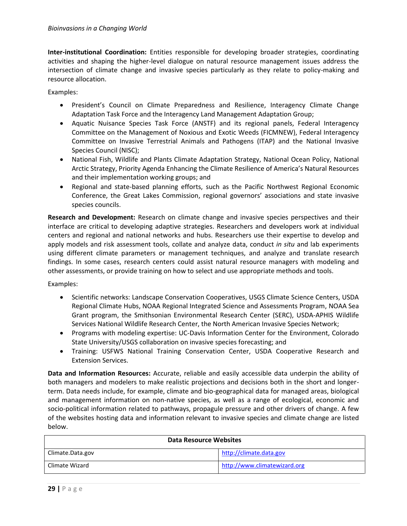**Inter-institutional Coordination:** Entities responsible for developing broader strategies, coordinating activities and shaping the higher-level dialogue on natural resource management issues address the intersection of climate change and invasive species particularly as they relate to policy-making and resource allocation.

Examples:

- President's Council on Climate Preparedness and Resilience, Interagency Climate Change Adaptation Task Force and the Interagency Land Management Adaptation Group;
- Aquatic Nuisance Species Task Force (ANSTF) and its regional panels, Federal Interagency Committee on the Management of Noxious and Exotic Weeds (FICMNEW), Federal Interagency Committee on Invasive Terrestrial Animals and Pathogens (ITAP) and the National Invasive Species Council (NISC);
- National Fish, Wildlife and Plants Climate Adaptation Strategy, National Ocean Policy, National Arctic Strategy, Priority Agenda Enhancing the Climate Resilience of America's Natural Resources and their implementation working groups; and
- Regional and state-based planning efforts, such as the Pacific Northwest Regional Economic Conference, the Great Lakes Commission, regional governors' associations and state invasive species councils.

**Research and Development:** Research on climate change and invasive species perspectives and their interface are critical to developing adaptive strategies. Researchers and developers work at individual centers and regional and national networks and hubs. Researchers use their expertise to develop and apply models and risk assessment tools, collate and analyze data, conduct *in situ* and lab experiments using different climate parameters or management techniques, and analyze and translate research findings. In some cases, research centers could assist natural resource managers with modeling and other assessments, or provide training on how to select and use appropriate methods and tools.

Examples:

- Scientific networks: Landscape Conservation Cooperatives, USGS Climate Science Centers, USDA Regional Climate Hubs, NOAA Regional Integrated Science and Assessments Program, NOAA Sea Grant program, the Smithsonian Environmental Research Center (SERC), USDA-APHIS Wildlife Services National Wildlife Research Center, the North American Invasive Species Network;
- Programs with modeling expertise: UC-Davis Information Center for the Environment, Colorado State University/USGS collaboration on invasive species forecasting; and
- Training: USFWS National Training Conservation Center, USDA Cooperative Research and Extension Services.

**Data and Information Resources:** Accurate, reliable and easily accessible data underpin the ability of both managers and modelers to make realistic projections and decisions both in the short and longerterm. Data needs include, for example, climate and bio-geographical data for managed areas, biological and management information on non-native species, as well as a range of ecological, economic and socio-political information related to pathways, propagule pressure and other drivers of change. A few of the websites hosting data and information relevant to invasive species and climate change are listed below.

| <b>Data Resource Websites</b> |                              |
|-------------------------------|------------------------------|
| Climate.Data.gov              | http://climate.data.gov      |
| Climate Wizard                | http://www.climatewizard.org |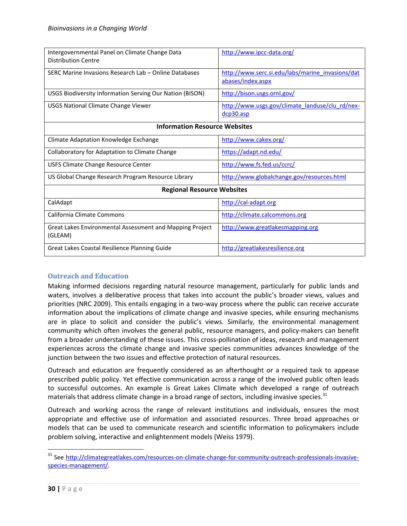| Intergovernmental Panel on Climate Change Data<br><b>Distribution Centre</b> | http://www.ipcc-data.org/                                             |  |
|------------------------------------------------------------------------------|-----------------------------------------------------------------------|--|
| SERC Marine Invasions Research Lab - Online Databases                        | http://www.serc.si.edu/labs/marine_invasions/dat<br>abases/index.aspx |  |
| <b>USGS Biodiversity Information Serving Our Nation (BISON)</b>              | http://bison.usgs.ornl.gov/                                           |  |
| <b>USGS National Climate Change Viewer</b>                                   | http://www.usgs.gov/climate landuse/clu rd/nex-<br>dcp30.asp          |  |
| <b>Information Resource Websites</b>                                         |                                                                       |  |
| Climate Adaptation Knowledge Exchange                                        | http://www.cakex.org/                                                 |  |
| Collaboratory for Adaptation to Climate Change                               | https://adapt.nd.edu/                                                 |  |
| USFS Climate Change Resource Center                                          | http://www.fs.fed.us/ccrc/                                            |  |
| US Global Change Research Program Resource Library                           | http://www.globalchange.gov/resources.html                            |  |
| <b>Regional Resource Websites</b>                                            |                                                                       |  |
| CalAdapt                                                                     | http://cal-adapt.org                                                  |  |
| California Climate Commons                                                   | http://climate.calcommons.org                                         |  |
| Great Lakes Environmental Assessment and Mapping Project<br>(GLEAM)          | http://www.greatlakesmapping.org                                      |  |
| Great Lakes Coastal Resilience Planning Guide                                | http://greatlakesresilience.org                                       |  |

#### <span id="page-32-0"></span>**Outreach and Education**

Making informed decisions regarding natural resource management, particularly for public lands and waters, involves a deliberative process that takes into account the public's broader views, values and priorities (NRC 2009). This entails engaging in a two-way process where the public can receive accurate information about the implications of climate change and invasive species, while ensuring mechanisms are in place to solicit and consider the public's views. Similarly, the environmental management community which often involves the general public, resource managers, and policy-makers can benefit from a broader understanding of these issues. This cross-pollination of ideas, research and management experiences across the climate change and invasive species communities advances knowledge of the junction between the two issues and effective protection of natural resources.

Outreach and education are frequently considered as an afterthought or a required task to appease prescribed public policy. Yet effective communication across a range of the involved public often leads to successful outcomes. An example is Great Lakes Climate which developed a range of outreach materials that address climate change in a broad range of sectors, including invasive species.<sup>31</sup>

Outreach and working across the range of relevant institutions and individuals, ensures the most appropriate and effective use of information and associated resources. Three broad approaches or models that can be used to communicate research and scientific information to policymakers include problem solving, interactive and enlightenment models (Weiss 1979).

<sup>&</sup>lt;sup>31</sup> See [http://climategreatlakes.com/resources-on-climate-change-for-community-outreach-professionals-invasive](http://climategreatlakes.com/resources-on-climate-change-for-community-outreach-professionals-invasive-species-management/)[species-management/.](http://climategreatlakes.com/resources-on-climate-change-for-community-outreach-professionals-invasive-species-management/)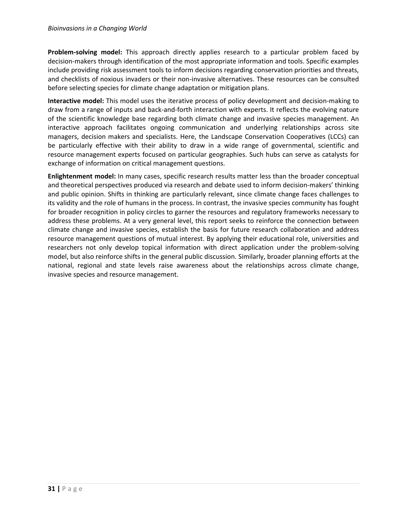#### *Bioinvasions in a Changing World*

**Problem-solving model:** This approach directly applies research to a particular problem faced by decision-makers through identification of the most appropriate information and tools. Specific examples include providing risk assessment tools to inform decisions regarding conservation priorities and threats, and checklists of noxious invaders or their non-invasive alternatives. These resources can be consulted before selecting species for climate change adaptation or mitigation plans.

**Interactive model:** This model uses the iterative process of policy development and decision-making to draw from a range of inputs and back-and-forth interaction with experts. It reflects the evolving nature of the scientific knowledge base regarding both climate change and invasive species management. An interactive approach facilitates ongoing communication and underlying relationships across site managers, decision makers and specialists. Here, the Landscape Conservation Cooperatives (LCCs) can be particularly effective with their ability to draw in a wide range of governmental, scientific and resource management experts focused on particular geographies. Such hubs can serve as catalysts for exchange of information on critical management questions.

**Enlightenment model:** In many cases, specific research results matter less than the broader conceptual and theoretical perspectives produced via research and debate used to inform decision-makers' thinking and public opinion. Shifts in thinking are particularly relevant, since climate change faces challenges to its validity and the role of humans in the process. In contrast, the invasive species community has fought for broader recognition in policy circles to garner the resources and regulatory frameworks necessary to address these problems. At a very general level, this report seeks to reinforce the connection between climate change and invasive species, establish the basis for future research collaboration and address resource management questions of mutual interest. By applying their educational role, universities and researchers not only develop topical information with direct application under the problem-solving model, but also reinforce shifts in the general public discussion. Similarly, broader planning efforts at the national, regional and state levels raise awareness about the relationships across climate change, invasive species and resource management.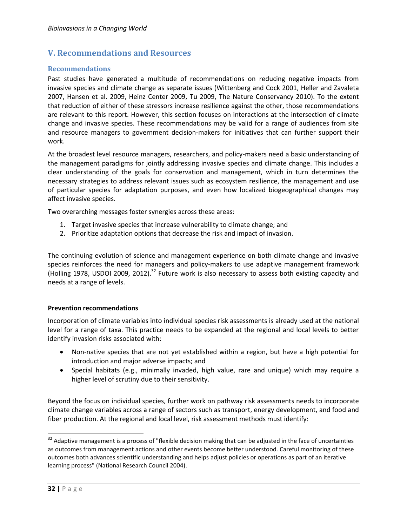## <span id="page-34-0"></span>**V. Recommendations and Resources**

#### <span id="page-34-1"></span>**Recommendations**

Past studies have generated a multitude of recommendations on reducing negative impacts from invasive species and climate change as separate issues (Wittenberg and Cock 2001, Heller and Zavaleta 2007, Hansen et al. 2009, Heinz Center 2009, Tu 2009, The Nature Conservancy 2010). To the extent that reduction of either of these stressors increase resilience against the other, those recommendations are relevant to this report. However, this section focuses on interactions at the intersection of climate change and invasive species. These recommendations may be valid for a range of audiences from site and resource managers to government decision-makers for initiatives that can further support their work.

At the broadest level resource managers, researchers, and policy-makers need a basic understanding of the management paradigms for jointly addressing invasive species and climate change. This includes a clear understanding of the goals for conservation and management, which in turn determines the necessary strategies to address relevant issues such as ecosystem resilience, the management and use of particular species for adaptation purposes, and even how localized biogeographical changes may affect invasive species.

Two overarching messages foster synergies across these areas:

- 1. Target invasive species that increase vulnerability to climate change; and
- 2. Prioritize adaptation options that decrease the risk and impact of invasion.

The continuing evolution of science and management experience on both climate change and invasive species reinforces the need for managers and policy-makers to use adaptive management framework (Holling 1978, USDOI 2009, 2012).<sup>32</sup> Future work is also necessary to assess both existing capacity and needs at a range of levels.

#### **Prevention recommendations**

Incorporation of climate variables into individual species risk assessments is already used at the national level for a range of taxa. This practice needs to be expanded at the regional and local levels to better identify invasion risks associated with:

- Non-native species that are not yet established within a region, but have a high potential for introduction and major adverse impacts; and
- Special habitats (e.g., minimally invaded, high value, rare and unique) which may require a higher level of scrutiny due to their sensitivity.

Beyond the focus on individual species, further work on pathway risk assessments needs to incorporate climate change variables across a range of sectors such as transport, energy development, and food and fiber production. At the regional and local level, risk assessment methods must identify:

 $\overline{a}$ 

<sup>&</sup>lt;sup>32</sup> Adaptive management is a process of "flexible decision making that can be adjusted in the face of uncertainties as outcomes from management actions and other events become better understood. Careful monitoring of these outcomes both advances scientific understanding and helps adjust policies or operations as part of an iterative learning process" (National Research Council 2004).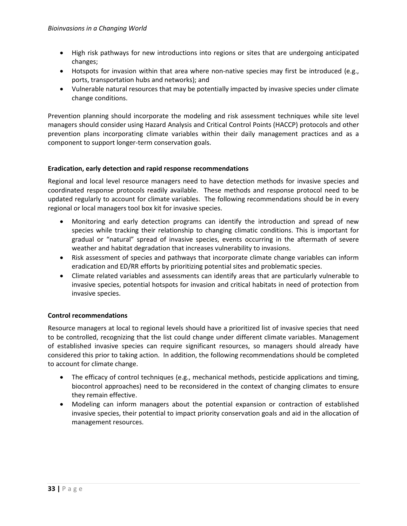- High risk pathways for new introductions into regions or sites that are undergoing anticipated changes;
- Hotspots for invasion within that area where non-native species may first be introduced (e.g., ports, transportation hubs and networks); and
- Vulnerable natural resources that may be potentially impacted by invasive species under climate change conditions.

Prevention planning should incorporate the modeling and risk assessment techniques while site level managers should consider using Hazard Analysis and Critical Control Points (HACCP) protocols and other prevention plans incorporating climate variables within their daily management practices and as a component to support longer-term conservation goals.

#### **Eradication, early detection and rapid response recommendations**

Regional and local level resource managers need to have detection methods for invasive species and coordinated response protocols readily available. These methods and response protocol need to be updated regularly to account for climate variables. The following recommendations should be in every regional or local managers tool box kit for invasive species.

- Monitoring and early detection programs can identify the introduction and spread of new species while tracking their relationship to changing climatic conditions. This is important for gradual or "natural" spread of invasive species, events occurring in the aftermath of severe weather and habitat degradation that increases vulnerability to invasions.
- Risk assessment of species and pathways that incorporate climate change variables can inform eradication and ED/RR efforts by prioritizing potential sites and problematic species.
- Climate related variables and assessments can identify areas that are particularly vulnerable to invasive species, potential hotspots for invasion and critical habitats in need of protection from invasive species.

#### **Control recommendations**

Resource managers at local to regional levels should have a prioritized list of invasive species that need to be controlled, recognizing that the list could change under different climate variables. Management of established invasive species can require significant resources, so managers should already have considered this prior to taking action. In addition, the following recommendations should be completed to account for climate change.

- The efficacy of control techniques (e.g., mechanical methods, pesticide applications and timing, biocontrol approaches) need to be reconsidered in the context of changing climates to ensure they remain effective.
- Modeling can inform managers about the potential expansion or contraction of established invasive species, their potential to impact priority conservation goals and aid in the allocation of management resources.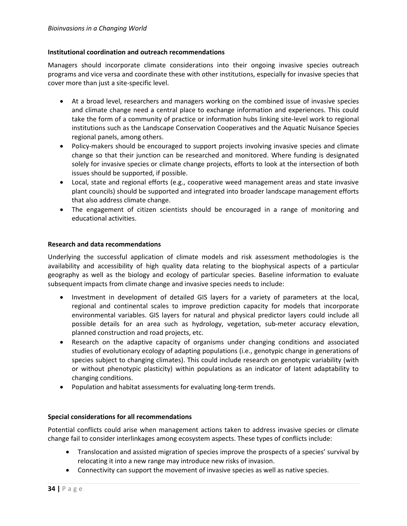#### **Institutional coordination and outreach recommendations**

Managers should incorporate climate considerations into their ongoing invasive species outreach programs and vice versa and coordinate these with other institutions, especially for invasive species that cover more than just a site-specific level.

- At a broad level, researchers and managers working on the combined issue of invasive species and climate change need a central place to exchange information and experiences. This could take the form of a community of practice or information hubs linking site-level work to regional institutions such as the Landscape Conservation Cooperatives and the Aquatic Nuisance Species regional panels, among others.
- Policy-makers should be encouraged to support projects involving invasive species and climate change so that their junction can be researched and monitored. Where funding is designated solely for invasive species or climate change projects, efforts to look at the intersection of both issues should be supported, if possible.
- Local, state and regional efforts (e.g., cooperative weed management areas and state invasive plant councils) should be supported and integrated into broader landscape management efforts that also address climate change.
- The engagement of citizen scientists should be encouraged in a range of monitoring and educational activities.

#### **Research and data recommendations**

Underlying the successful application of climate models and risk assessment methodologies is the availability and accessibility of high quality data relating to the biophysical aspects of a particular geography as well as the biology and ecology of particular species. Baseline information to evaluate subsequent impacts from climate change and invasive species needs to include:

- Investment in development of detailed GIS layers for a variety of parameters at the local, regional and continental scales to improve prediction capacity for models that incorporate environmental variables. GIS layers for natural and physical predictor layers could include all possible details for an area such as hydrology, vegetation, sub-meter accuracy elevation, planned construction and road projects, etc.
- Research on the adaptive capacity of organisms under changing conditions and associated studies of evolutionary ecology of adapting populations (i.e., genotypic change in generations of species subject to changing climates). This could include research on genotypic variability (with or without phenotypic plasticity) within populations as an indicator of latent adaptability to changing conditions.
- Population and habitat assessments for evaluating long-term trends.

#### **Special considerations for all recommendations**

Potential conflicts could arise when management actions taken to address invasive species or climate change fail to consider interlinkages among ecosystem aspects. These types of conflicts include:

- Translocation and assisted migration of species improve the prospects of a species' survival by relocating it into a new range may introduce new risks of invasion.
- Connectivity can support the movement of invasive species as well as native species.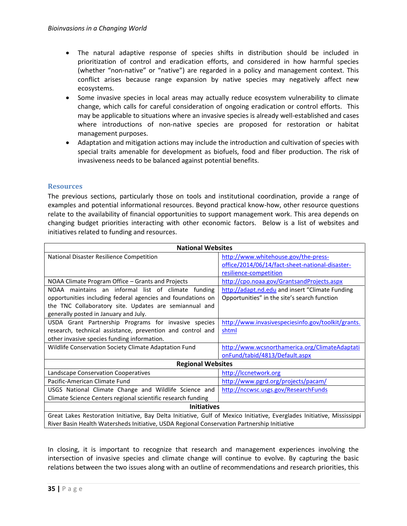- The natural adaptive response of species shifts in distribution should be included in prioritization of control and eradication efforts, and considered in how harmful species (whether "non-native" or "native") are regarded in a policy and management context. This conflict arises because range expansion by native species may negatively affect new ecosystems.
- Some invasive species in local areas may actually reduce ecosystem vulnerability to climate change, which calls for careful consideration of ongoing eradication or control efforts. This may be applicable to situations where an invasive species is already well-established and cases where introductions of non-native species are proposed for restoration or habitat management purposes.
- Adaptation and mitigation actions may include the introduction and cultivation of species with special traits amenable for development as biofuels, food and fiber production. The risk of invasiveness needs to be balanced against potential benefits.

#### <span id="page-37-0"></span>**Resources**

The previous sections, particularly those on tools and institutional coordination, provide a range of examples and potential informational resources. Beyond practical know-how, other resource questions relate to the availability of financial opportunities to support management work. This area depends on changing budget priorities interacting with other economic factors. Below is a list of websites and initiatives related to funding and resources.

| <b>National Websites</b>                                                                                                |                                                    |  |
|-------------------------------------------------------------------------------------------------------------------------|----------------------------------------------------|--|
| National Disaster Resilience Competition                                                                                | http://www.whitehouse.gov/the-press-               |  |
|                                                                                                                         | office/2014/06/14/fact-sheet-national-disaster-    |  |
|                                                                                                                         | resilience-competition                             |  |
| NOAA Climate Program Office - Grants and Projects                                                                       | http://cpo.noaa.gov/GrantsandProjects.aspx         |  |
| NOAA maintains an informal list of climate funding                                                                      | http://adapt.nd.edu and insert "Climate Funding    |  |
| opportunities including federal agencies and foundations on                                                             | Opportunities" in the site's search function       |  |
| the TNC Collaboratory site. Updates are semiannual and                                                                  |                                                    |  |
| generally posted in January and July.                                                                                   |                                                    |  |
| USDA Grant Partnership Programs for invasive species                                                                    | http://www.invasivespeciesinfo.gov/toolkit/grants. |  |
| research, technical assistance, prevention and control and                                                              | shtml                                              |  |
| other invasive species funding information.                                                                             |                                                    |  |
| Wildlife Conservation Society Climate Adaptation Fund                                                                   | http://www.wcsnorthamerica.org/ClimateAdaptati     |  |
|                                                                                                                         | onFund/tabid/4813/Default.aspx                     |  |
| <b>Regional Websites</b>                                                                                                |                                                    |  |
| Landscape Conservation Cooperatives                                                                                     | http://lccnetwork.org                              |  |
| Pacific-American Climate Fund                                                                                           | http://www.pgrd.org/projects/pacam/                |  |
| USGS National Climate Change and Wildlife Science and                                                                   | http://nccwsc.usgs.gov/ResearchFunds               |  |
| Climate Science Centers regional scientific research funding                                                            |                                                    |  |
| <b>Initiatives</b>                                                                                                      |                                                    |  |
| Great Lakes Restoration Initiative, Bay Delta Initiative, Gulf of Mexico Initiative, Everglades Initiative, Mississippi |                                                    |  |
| River Basin Health Watersheds Initiative, USDA Regional Conservation Partnership Initiative                             |                                                    |  |

In closing, it is important to recognize that research and management experiences involving the intersection of invasive species and climate change will continue to evolve. By capturing the basic relations between the two issues along with an outline of recommendations and research priorities, this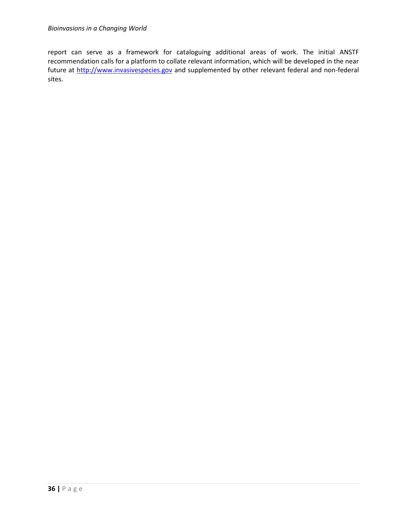report can serve as a framework for cataloguing additional areas of work. The initial ANSTF recommendation calls for a platform to collate relevant information, which will be developed in the near future at [http://www.invasivespecies.gov](http://www.invasivespecies.gov/) and supplemented by other relevant federal and non-federal sites.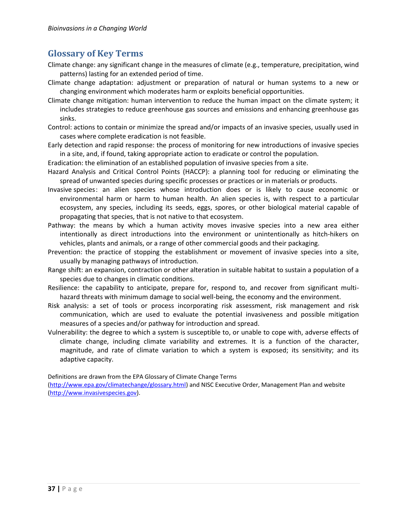# <span id="page-39-0"></span>**Glossary of Key Terms**

- Climate change: any significant change in the measures of climate (e.g., temperature, precipitation, wind patterns) lasting for an extended period of time.
- Climate change adaptation: adjustment or preparation of natural or human systems to a new or changing environment which moderates harm or exploits beneficial opportunities.
- Climate change mitigation: human intervention to reduce the human impact on the climate system; it includes strategies to reduce greenhouse gas sources and emissions and enhancing greenhouse gas sinks.
- Control: actions to contain or minimize the spread and/or impacts of an invasive species, usually used in cases where complete eradication is not feasible.
- Early detection and rapid response: the process of monitoring for new introductions of invasive species in a site, and, if found, taking appropriate action to eradicate or control the population.
- Eradication: the elimination of an established population of invasive species from a site.
- Hazard Analysis and Critical Control Points (HACCP): a planning tool for reducing or eliminating the spread of unwanted species during specific processes or practices or in materials or products.
- Invasive species: an alien species whose introduction does or is likely to cause economic or environmental harm or harm to human health. An alien species is, with respect to a particular ecosystem, any species, including its seeds, eggs, spores, or other biological material capable of propagating that species, that is not native to that ecosystem.
- Pathway: the means by which a human activity moves invasive species into a new area either intentionally as direct introductions into the environment or unintentionally as hitch-hikers on vehicles, plants and animals, or a range of other commercial goods and their packaging.
- Prevention: the practice of stopping the establishment or movement of invasive species into a site, usually by managing pathways of introduction.
- Range shift: an expansion, contraction or other alteration in suitable habitat to sustain a population of a species due to changes in climatic conditions.
- Resilience: the capability to anticipate, prepare for, respond to, and recover from significant multihazard threats with minimum damage to social well-being, the economy and the environment.
- Risk analysis: a set of tools or process incorporating risk assessment, risk management and risk communication, which are used to evaluate the potential invasiveness and possible mitigation measures of a species and/or pathway for introduction and spread.
- Vulnerability: the degree to which a system is susceptible to, or unable to cope with, adverse effects of climate change, including climate variability and extremes. It is a function of the character, magnitude, and rate of climate variation to which a system is exposed; its sensitivity; and its adaptive capacity.

Definitions are drawn from the EPA Glossary of Climate Change Terms

[\(http://www.epa.gov/climatechange/glossary.html\)](http://www.epa.gov/climatechange/glossary.html) and NISC Executive Order, Management Plan and website [\(http://www.invasivespecies.gov\)](http://www.invasivespecies.gov/).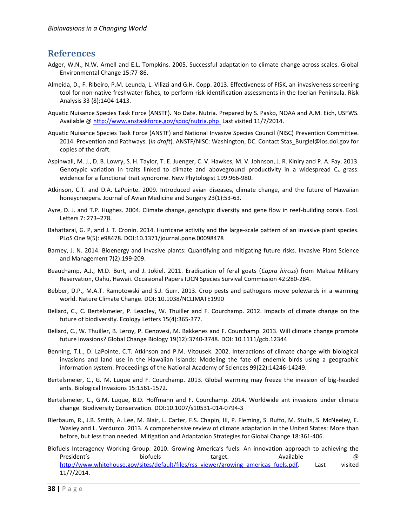## <span id="page-40-0"></span>**References**

- Adger, W.N., N.W. Arnell and E.L. Tompkins. 2005. Successful adaptation to climate change across scales. Global Environmental Change 15:77-86.
- Almeida, D., F. Ribeiro, P.M. Leunda, L. Vilizzi and G.H. Copp. 2013. Effectiveness of FISK, an invasiveness screening tool for non-native freshwater fishes, to perform risk identification assessments in the Iberian Peninsula. Risk Analysis 33 (8):1404-1413.
- Aquatic Nuisance Species Task Force (ANSTF). No Date. Nutria. Prepared by S. Pasko, NOAA and A.M. Eich, USFWS. Available @ [http://www.anstaskforce.gov/spoc/nutria.php.](http://www.anstaskforce.gov/spoc/nutria.php) Last visited 11/7/2014.
- Aquatic Nuisance Species Task Force (ANSTF) and National Invasive Species Council (NISC) Prevention Committee. 2014. Prevention and Pathways. (*in draft*). ANSTF/NISC: Washington, DC. Contact Stas\_Burgiel@ios.doi.gov for copies of the draft.
- Aspinwall, M. J., D. B. Lowry, S. H. Taylor, T. E. Juenger, C. V. Hawkes, M. V. Johnson, J. R. Kiniry and P. A. Fay. 2013. Genotypic variation in traits linked to climate and aboveground productivity in a widespread  $C_4$  grass: evidence for a functional trait syndrome. New Phytologist 199:966-980.
- Atkinson, C.T. and D.A. LaPointe. 2009. Introduced avian diseases, climate change, and the future of Hawaiian honeycreepers. Journal of Avian Medicine and Surgery 23(1):53-63.
- Ayre, D. J. and T.P. Hughes. 2004. Climate change, genotypic diversity and gene flow in reef-building corals. Ecol. Letters 7: 273–278.
- Bahattarai, G. P, and J. T. Cronin. 2014. Hurricane activity and the large-scale pattern of an invasive plant species. PLoS One 9(5): e98478. DOI:10.1371/journal.pone.00098478
- Barney, J. N. 2014. Bioenergy and invasive plants: Quantifying and mitigating future risks. Invasive Plant Science and Management 7(2):199-209.
- Beauchamp, A.J., M.D. Burt, and J. Jokiel. 2011. Eradication of feral goats (*Capra hircus*) from Makua Military Reservation, Oahu, Hawaii. Occasional Papers IUCN Species Survival Commission 42:280-284.
- Bebber, D.P., M.A.T. Ramotowski and S.J. Gurr. 2013. Crop pests and pathogens move polewards in a warming world. Nature Climate Change. DOI: 10.1038/NCLIMATE1990
- Bellard, C., C. Bertelsmeier, P. Leadley, W. Thuiller and F. Courchamp. 2012. Impacts of climate change on the future of biodiversity. Ecology Letters 15(4):365-377.
- Bellard, C., W. Thuiller, B. Leroy, P. Genovesi, M. Bakkenes and F. Courchamp. 2013. Will climate change promote future invasions? Global Change Biology 19(12):3740-3748. DOI: 10.1111/gcb.12344
- Benning, T.L., D. LaPointe, C.T. Atkinson and P.M. Vitousek. 2002. Interactions of climate change with biological invasions and land use in the Hawaiian Islands: Modeling the fate of endemic birds using a geographic information system. Proceedings of the National Academy of Sciences 99(22):14246-14249.
- Bertelsmeier, C., G. M. Luque and F. Courchamp. 2013. Global warming may freeze the invasion of big-headed ants. Biological Invasions 15:1561-1572.
- Bertelsmeier, C., G.M. Luque, B.D. Hoffmann and F. Courchamp. 2014. Worldwide ant invasions under climate change. Biodiversity Conservation. DOI:10.1007/s10531-014-0794-3
- Bierbaum, R., J.B. Smith, A. Lee, M. Blair, L. Carter, F.S. Chapin, III, P. Fleming, S. Ruffo, M. Stults, S. McNeeley, E. Wasley and L. Verduzco. 2013. A comprehensive review of climate adaptation in the United States: More than before, but less than needed. Mitigation and Adaptation Strategies for Global Change 18:361-406.
- Biofuels Interagency Working Group. 2010. Growing America's fuels: An innovation approach to achieving the President's health biofuels target. Available target that the set of  $\varpi$ [http://www.whitehouse.gov/sites/default/files/rss\\_viewer/growing\\_americas\\_fuels.pdf](http://www.whitehouse.gov/sites/default/files/rss_viewer/growing_americas_fuels.pdf)*.* Last visited 11/7/2014.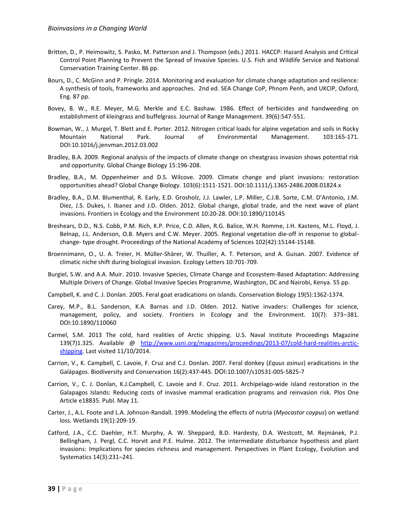- Britton, D., P. Heimowitz, S. Pasko, M. Patterson and J. Thompson (eds.) 2011. HACCP: Hazard Analysis and Critical Control Point Planning to Prevent the Spread of Invasive Species. U.S. Fish and Wildlife Service and National Conservation Training Center. 86 pp.
- Bours, D., C. McGinn and P. Pringle. 2014. Monitoring and evaluation for climate change adaptation and resilience: A synthesis of tools, frameworks and approaches. 2nd ed. SEA Change CoP, Phnom Penh, and UKCIP, Oxford, Eng. 87 pp.
- Bovey, B. W., R.E. Meyer, M.G. Merkle and E.C. Bashaw. 1986. Effect of herbicides and handweeding on establishment of kleingrass and buffelgrass. Journal of Range Management. 39(6):547-551.
- Bowman, W., J. Murgel, T. Blett and E. Porter. 2012. Nitrogen critical loads for alpine vegetation and soils in Rocky Mountain National Park. Journal of Environmental Management. 103:165-171. DOI:10.1016/j.jenvman.2012.03.002
- Bradley, B.A. 2009. Regional analysis of the impacts of climate change on cheatgrass invasion shows potential risk and opportunity. Global Change Biology 15:196-208.
- Bradley, B.A., M. Oppenheimer and D.S. Wilcove. 2009. Climate change and plant invasions: restoration opportunities ahead? Global Change Biology. 103(6):1511-1521. DOI:10.1111/j.1365-2486.2008.01824.x
- Bradley, B.A., D.M. Blumenthal, R. Early, E.D. Grosholz, J.J. Lawler, L.P. Miller, C.J.B. Sorte, C.M. D'Antonio, J.M. Diez, J.S. Dukes, I. Ibanez and J.D. Olden. 2012. Global change, global trade, and the next wave of plant invasions. Frontiers in Ecology and the Environment 10:20-28. DOI:10.1890/110145
- Breshears, D.D., N.S. Cobb, P.M. Rich, K.P. Price, C.D. Allen, R.G. Balice, W.H. Romme, J.H. Kastens, M.L. Floyd, J. Belnap, J.L. Anderson, O.B. Myers and C.W. Meyer. 2005. Regional vegetation die-off in response to globalchange- type drought. Proceedings of the National Academy of Sciences 102(42):15144-15148.
- Broennimann, O., U. A. Treier, H. Müller-Shärer, W. Thuiller, A. T. Peterson, and A. Guisan. 2007. Evidence of climatic niche shift during biological invasion. Ecology Letters 10:701-709.
- Burgiel, S.W. and A.A. Muir. 2010. Invasive Species, Climate Change and Ecosystem-Based Adaptation: Addressing Multiple Drivers of Change. Global Invasive Species Programme, Washington, DC and Nairobi, Kenya. 55 pp.
- Campbell, K. and C. J. Donlan. 2005. Feral goat eradications on islands. Conservation Biology 19(5):1362-1374.
- Carey, M.P., B.L. Sanderson, K.A. Barnas and J.D. Olden. 2012. Native invaders: Challenges for science, management, policy, and society. Frontiers in Ecology and the Environment. 10(7): 373–381. DOI:10.1890/110060
- Carmel, S.M. 2013 The cold, hard realities of Arctic shipping. U.S. Naval Institute Proceedings Magazine 139(7)1.325. Available @ [http://www.usni.org/magazines/proceedings/2013-07/cold-hard-realities-arctic](http://www.usni.org/magazines/proceedings/2013-07/cold-hard-realities-arctic-shipping)[shipping.](http://www.usni.org/magazines/proceedings/2013-07/cold-hard-realities-arctic-shipping) Last visited 11/10/2014.
- Carrion, V., K. Campbell, C. Lavoie, F. Cruz and C.J. Donlan. 2007. Feral donkey (*Equus asinus*) eradications in the Galápagos. Biodiversity and Conservation 16(2):437-445. DOI:10.1007/s10531-005-5825-7
- Carrion, V., C. J. Donlan, K.J.Campbell, C. Lavoie and F. Cruz. 2011. Archipelago-wide island restoration in the Galapagos Islands: Reducing costs of invasive mammal eradication programs and reinvasion risk. Plos One Article e18835. Publ. May 11.
- Carter, J., A.L. Foote and L.A. Johnson-Randall. 1999. Modeling the effects of nutria (*Myocastor coypus*) on wetland loss. Wetlands 19(1):209-19.
- Catford, J.A., C.C. Daehler, H.T. Murphy, A. W. Sheppard, B.D. Hardesty, D.A. Westcott, M. Rejmánek, P.J. Bellingham, J. Pergl, C.C. Horvit and P.E. Hulme. 2012. The intermediate disturbance hypothesis and plant invasions: Implications for species richness and management. Perspectives in Plant Ecology, Evolution and Systematics 14(3):231–241.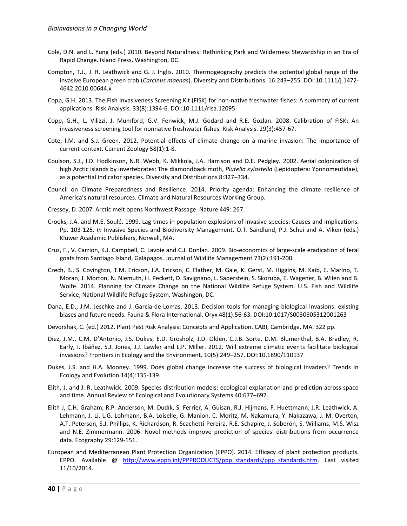- Cole, D.N. and L. Yung (eds.) 2010. Beyond Naturalness: Rethinking Park and Wilderness Stewardship in an Era of Rapid Change. Island Press, Washington, DC.
- Compton, T.J., J. R. Leathwick and G. J. Inglis. 2010. Thermogeography predicts the potential global range of the invasive European green crab (*Carcinus maenas*). Diversity and Distributions. 16:243–255. DOI:10.1111/j.1472- 4642.2010.00644.x
- Copp, G.H. 2013. The Fish Invasiveness Screening Kit (FISK) for non-native freshwater fishes: A summary of current applications. Risk Analysis. 33(8):1394-6. DOI:10.1111/risa.12095
- Copp, G.H., L. Vilizzi, J. Mumford, G.V. Fenwick, M.J. Godard and R.E. Gozlan. 2008. Calibration of FISK: An invasiveness screening tool for nonnative freshwater fishes. Risk Analysis. 29(3):457-67.
- Cote, I.M. and S.J. Green. 2012. Potential effects of climate change on a marine invasion: The importance of current context. Current Zoology 58(1):1-8.
- Coulson, S.J., I.D. Hodkinson, N.R. Webb, K. Mikkola, J.A. Harrison and D.E. Pedgley. 2002. Aerial colonization of high Arctic islands by invertebrates: The diamondback moth, *Plutella xylostella* (Lepidoptera: Yponomeutidae), as a potential indicator species. Diversity and Distributions 8:327–334.
- Council on Climate Preparedness and Resilience. 2014. Priority agenda: Enhancing the climate resilience of America's natural resources. Climate and Natural Resources Working Group.
- Cressey, D. 2007. Arctic melt opens Northwest Passage. Nature 449: 267.
- Crooks, J.A. and M.E. Soulé. 1999. Lag times in population explosions of invasive species: Causes and implications. Pp. 103-125. *In* Invasive Species and Biodiversity Management. O.T. Sandlund, P.J. Schei and A. Viken (eds.) Kluwer Acadamic Publishers, Norwell, MA.
- Cruz, F., V. Carrion, K.J. Campbell, C. Lavoie and C.J. Donlan. 2009. Bio-economics of large-scale eradication of feral goats from Santiago Island, Galápagos. Journal of Wildlife Management 73(2):191-200.
- Czech, B., S. Covington, T.M. Ericson, J.A. Ericson, C. Flather, M. Gale, K. Gerst, M. Higgins, M. Kaib, E. Marino, T. Moran, J. Morton, N. Niemuth, H. Peckett, D. Savignano, L. Saperstein, S. Skorupa, E. Wagener, B. Wilen and B. Wolfe. 2014. Planning for Climate Change on the National Wildlife Refuge System. U.S. Fish and Wildlife Service, National Wildlife Refuge System, Washingon, DC.
- Dana, E.D., J.M. Jeschke and J. Garcia-de-Lomas. 2013. Decision tools for managing biological invasions: existing biases and future needs. Fauna & Flora International, Oryx 48(1):56-63. DOI:10.1017/S0030605312001263
- Devorshak, C. (ed.) 2012. Plant Pest Risk Analysis: Concepts and Application. CABI, Cambridge, MA. 322 pp.
- Diez, J.M., C.M. D'Antonio, J.S. Dukes, E.D. Grosholz, J.D. Olden, C.J.B. Sorte, D.M. Blumenthal, B.A. Bradley, R. Early, I. Ibáñez, S.J. Jones, J.J. Lawler and L.P. Miller. 2012. Will extreme climatic events facilitate biological invasions? Frontiers in Ecology and the Environment. 10(5):249–257. DOI:10.1890/110137
- Dukes, J.S. and H.A. Mooney. 1999. Does global change increase the success of biological invaders? Trends in Ecology and Evolution 14(4):135-139.
- Elith, J. and J. R. Leathwick. 2009. Species distribution models: ecological explanation and prediction across space and time. Annual Review of Ecological and Evolutionary Systems 40:677–697.
- Elith J, C.H. Graham, R.P. Anderson, M. Dudík, S. Ferrier, A. Guisan, R.J. Hijmans, F. Huettmann, J.R. Leathwick, A. Lehmann, J. Li, L.G. Lohmann, B.A. Loiselle, G. Manion, C. Moritz, M. Nakamura, Y. Nakazawa, J. M. Overton, A.T. Peterson, S.J. Phillips, K. Richardson, R. Scachetti-Pereira, R.E. Schapire, J. Soberón, S. Williams, M.S. Wisz and N.E. Zimmermann. 2006. Novel methods improve prediction of species' distributions from occurrence data. Ecography 29:129‐151.
- European and Mediterranean Plant Protection Organization (EPPO). 2014. Efficacy of plant protection products. EPPO. Available @ [http://www.eppo.int/PPPRODUCTS/ppp\\_standards/ppp\\_standards.htm.](http://www.eppo.int/PPPRODUCTS/ppp_standards/ppp_standards.htm) Last visited 11/10/2014.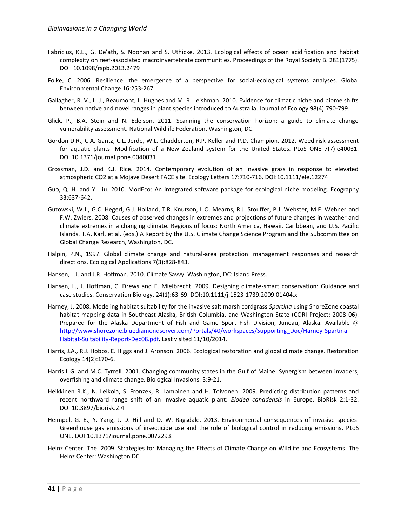- Fabricius, K.E., G. De'ath, S. Noonan and S. Uthicke. 2013. Ecological effects of ocean acidification and habitat complexity on reef-associated macroinvertebrate communities. Proceedings of the Royal Society B. 281(1775). DOI: 10.1098/rspb.2013.2479
- Folke, C. 2006. Resilience: the emergence of a perspective for social-ecological systems analyses. Global Environmental Change 16:253-267.
- Gallagher, R. V., L. J., Beaumont, L. Hughes and M. R. Leishman. 2010. Evidence for climatic niche and biome shifts between native and novel ranges in plant species introduced to Australia. Journal of Ecology 98(4):790-799.
- Glick, P., B.A. Stein and N. Edelson. 2011. Scanning the conservation horizon: a guide to climate change vulnerability assessment. National Wildlife Federation, Washington, DC.
- Gordon D.R., C.A. Gantz, C.L. Jerde, W.L. Chadderton, R.P. Keller and P.D. Champion. 2012. Weed risk assessment for aquatic plants: Modification of a New Zealand system for the United States. PLoS ONE 7(7):e40031. DOI:10.1371/journal.pone.0040031
- Grossman, J.D. and K.J. Rice. 2014. Contemporary evolution of an invasive grass in response to elevated atmospheric CO2 at a Mojave Desert FACE site. Ecology Letters 17:710-716. DOI:10.1111/ele.12274
- Guo, Q. H. and Y. Liu. 2010. ModEco: An integrated software package for ecological niche modeling. Ecography 33:637-642.
- Gutowski, W.J., G.C. Hegerl, G.J. Holland, T.R. Knutson, L.O. Mearns, R.J. Stouffer, P.J. Webster, M.F. Wehner and F.W. Zwiers. 2008. Causes of observed changes in extremes and projections of future changes in weather and climate extremes in a changing climate. Regions of focus: North America, Hawaii, Caribbean, and U.S. Pacific Islands. T.A. Karl, et al. (eds.) A Report by the U.S. Climate Change Science Program and the Subcommittee on Global Change Research, Washington, DC.
- Halpin, P.N., 1997. Global climate change and natural-area protection: management responses and research directions. Ecological Applications 7(3):828-843.
- Hansen, L.J. and J.R. Hoffman. 2010. Climate Savvy. Washington, DC: Island Press.
- Hansen, L., J. Hoffman, C. Drews and E. Mielbrecht. 2009. Designing climate-smart conservation: Guidance and case studies. Conservation Biology. 24(1):63-69. DOI:10.1111/j.1523-1739.2009.01404.x
- Harney, J. 2008. Modeling habitat suitability for the invasive salt marsh cordgrass *Spartina* using ShoreZone coastal habitat mapping data in Southeast Alaska, British Columbia, and Washington State (CORI Project: 2008-06). Prepared for the Alaska Department of Fish and Game Sport Fish Division, Juneau, Alaska. Available @ [http://www.shorezone.bluediamondserver.com/Portals/40/workspaces/Supporting\\_Doc/Harney-Spartina-](http://www.shorezone.bluediamondserver.com/Portals/40/workspaces/Supporting_Doc/Harney-Spartina-Habitat-Suitability-Report-Dec08.pdf)[Habitat-Suitability-Report-Dec08.pdf.](http://www.shorezone.bluediamondserver.com/Portals/40/workspaces/Supporting_Doc/Harney-Spartina-Habitat-Suitability-Report-Dec08.pdf) Last visited 11/10/2014.
- Harris, J.A., R.J. Hobbs, E. Higgs and J. Aronson. 2006. Ecological restoration and global climate change. Restoration Ecology 14(2):170-6.
- Harris L.G. and M.C. Tyrrell. 2001. Changing community states in the Gulf of Maine: Synergism between invaders, overfishing and climate change. Biological Invasions. 3:9-21.
- Heikkinen R.K., N. Leikola, S. Fronzek, R. Lampinen and H. Toivonen. 2009. Predicting distribution patterns and recent northward range shift of an invasive aquatic plant: *Elodea canadensis* in Europe. BioRisk 2:1-32. DOI:10.3897/biorisk.2.4
- Heimpel, G. E., Y. Yang, J. D. Hill and D. W. Ragsdale. 2013. Environmental consequences of invasive species: Greenhouse gas emissions of insecticide use and the role of biological control in reducing emissions. PLoS ONE. DOI:10.1371/journal.pone.0072293.
- Heinz Center, The. 2009. Strategies for Managing the Effects of Climate Change on Wildlife and Ecosystems. The Heinz Center: Washington DC.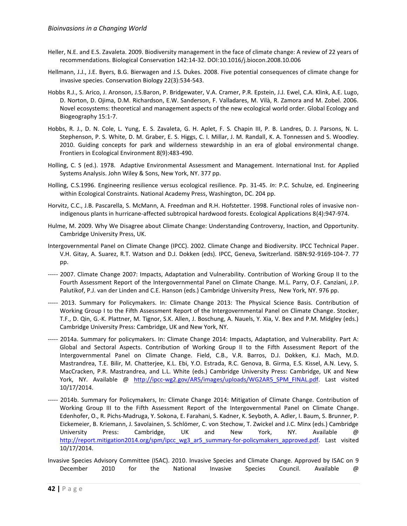- Heller, N.E. and E.S. Zavaleta. 2009. Biodiversity management in the face of climate change: A review of 22 years of recommendations. Biological Conservation 142:14-32. DOI:10.1016/j.biocon.2008.10.006
- Hellmann, J.J., J.E. Byers, B.G. Bierwagen and J.S. Dukes. 2008. Five potential consequences of climate change for invasive species. Conservation Biology 22(3):534-543.
- Hobbs R.J., S. Arico, J. Aronson, J.S.Baron, P. Bridgewater, V.A. Cramer, P.R. Epstein, J.J. Ewel, C.A. Klink, A.E. Lugo, D. Norton, D. Ojima, D.M. Richardson, E.W. Sanderson, F. Valladares, M. Vilà, R. Zamora and M. Zobel. 2006. Novel ecosystems: theoretical and management aspects of the new ecological world order. Global Ecology and Biogeography 15:1-7.
- Hobbs, R. J., D. N. Cole, L. Yung, E. S. Zavaleta, G. H. Aplet, F. S. Chapin III, P. B. Landres, D. J. Parsons, N. L. Stephenson, P. S. White, D. M. Graber, E. S. Higgs, C. I. Millar, J. M. Randall, K. A. Tonnessen and S. Woodley. 2010. Guiding concepts for park and wilderness stewardship in an era of global environmental change. Frontiers in Ecological Environment 8(9):483-490.
- Holling, C. S (ed.). 1978. Adaptive Environmental Assessment and Management. International Inst. for Applied Systems Analysis. John Wiley & Sons, New York, NY. 377 pp.
- Holling, C.S.1996. Engineering resilience versus ecological resilience. Pp. 31-45. *In*: P.C. Schulze, ed. Engineering within Ecological Constraints. National Academy Press, Washington, DC. 204 pp.
- Horvitz, C.C., J.B. Pascarella, S. McMann, A. Freedman and R.H. Hofstetter. 1998. Functional roles of invasive nonindigenous plants in hurricane-affected subtropical hardwood forests. Ecological Applications 8(4):947-974.
- Hulme, M. 2009. Why We Disagree about Climate Change: Understanding Controversy, Inaction, and Opportunity. Cambridge University Press, UK.
- Intergovernmental Panel on Climate Change (IPCC). 2002. Climate Change and Biodiversity. IPCC Technical Paper. V.H. Gitay, A. Suarez, R.T. Watson and D.J. Dokken (eds). IPCC, Geneva, Switzerland. ISBN:92-9169-104-7. 77 pp.
- ----- 2007. Climate Change 2007: Impacts, Adaptation and Vulnerability. Contribution of Working Group II to the Fourth Assessment Report of the Intergovernmental Panel on Climate Change. M.L. Parry, O.F. Canziani, J.P. Palutikof, P.J. van der Linden and C.E. Hanson (eds.) Cambridge University Press, New York, NY. 976 pp.
- ----- 2013. Summary for Policymakers. In: Climate Change 2013: The Physical Science Basis. Contribution of Working Group I to the Fifth Assessment Report of the Intergovernmental Panel on Climate Change. Stocker, T.F., D. Qin, G.-K. Plattner, M. Tignor, S.K. Allen, J. Boschung, A. Nauels, Y. Xia, V. Bex and P.M. Midgley (eds.) Cambridge University Press: Cambridge, UK and New York, NY.
- ----- 2014a. Summary for policymakers. In: Climate Change 2014: Impacts, Adaptation, and Vulnerability. Part A: Global and Sectoral Aspects. Contribution of Working Group II to the Fifth Assessment Report of the Intergovernmental Panel on Climate Change. Field, C.B., V.R. Barros, D.J. Dokken, K.J. Mach, M.D. Mastrandrea, T.E. Bilir, M. Chatterjee, K.L. Ebi, Y.O. Estrada, R.C. Genova, B. Girma, E.S. Kissel, A.N. Levy, S. MacCracken, P.R. Mastrandrea, and L.L. White (eds.) Cambridge University Press: Cambridge, UK and New York, NY. Available @ [http://ipcc-wg2.gov/AR5/images/uploads/WG2AR5\\_SPM\\_FINAL.pdf.](http://ipcc-wg2.gov/AR5/images/uploads/WG2AR5_SPM_FINAL.pdf) Last visited 10/17/2014.
- ----- 2014b. Summary for Policymakers, In: Climate Change 2014: Mitigation of Climate Change. Contribution of Working Group III to the Fifth Assessment Report of the Intergovernmental Panel on Climate Change. Edenhofer, O., R. Pichs-Madruga, Y. Sokona, E. Farahani, S. Kadner, K. Seyboth, A. Adler, I. Baum, S. Brunner, P. Eickemeier, B. Kriemann, J. Savolainen, S. Schlömer, C. von Stechow, T. Zwickel and J.C. Minx (eds.) Cambridge University Press: Cambridge, UK and New York, NY. Available @ [http://report.mitigation2014.org/spm/ipcc\\_wg3\\_ar5\\_summary-for-policymakers\\_approved.pdf.](http://report.mitigation2014.org/spm/ipcc_wg3_ar5_summary-for-policymakers_approved.pdf) Last visited 10/17/2014.
- Invasive Species Advisory Committee (ISAC). 2010. Invasive Species and Climate Change. Approved by ISAC on 9 December 2010 for the National Invasive Species Council. Available @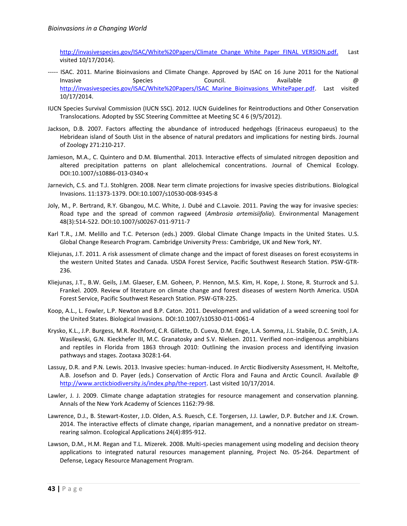http://invasivespecies.gov/ISAC/White%20Papers/Climate Change\_White\_Paper\_FINAL\_VERSION.pdf. Last visited 10/17/2014).

- ----- ISAC. 2011. Marine Bioinvasions and Climate Change. Approved by ISAC on 16 June 2011 for the National Invasive Species Council. Available @ [http://invasivespecies.gov/ISAC/White%20Papers/ISAC\\_Marine\\_Bioinvasions\\_WhitePaper.pdf.](http://invasivespecies.gov/ISAC/White%20Papers/ISAC_Marine_Bioinvasions_WhitePaper.pdf) Last visited 10/17/2014.
- IUCN Species Survival Commission (IUCN SSC). 2012. IUCN Guidelines for Reintroductions and Other Conservation Translocations. Adopted by SSC Steering Committee at Meeting SC 4 6 (9/5/2012).
- Jackson, D.B. 2007. Factors affecting the abundance of introduced hedgehogs (Erinaceus europaeus) to the Hebridean island of South Uist in the absence of natural predators and implications for nesting birds. Journal of Zoology 271:210-217.
- Jamieson, M.A., C. Quintero and D.M. Blumenthal. 2013. Interactive effects of simulated nitrogen deposition and altered precipitation patterns on plant allelochemical concentrations. Journal of Chemical Ecology. DOI:10.1007/s10886-013-0340-x
- Jarnevich, C.S. and T.J. Stohlgren. 2008. Near term climate projections for invasive species distributions. Biological Invasions. 11:1373-1379. DOI:10.1007/s10530-008-9345-8
- Joly, M., P. Bertrand, R.Y. Gbangou, M.C. White, J. Dubé and C.Lavoie. 2011. Paving the way for invasive species: Road type and the spread of common ragweed (*Ambrosia artemisiifolia*). Environmental Management 48(3):514-522. DOI:10.1007/s00267-011-9711-7
- Karl T.R., J.M. Melillo and T.C. Peterson (eds.) 2009. Global Climate Change Impacts in the United States. U.S. Global Change Research Program. Cambridge University Press: Cambridge, UK and New York, NY.
- Kliejunas, J.T. 2011. A risk assessment of climate change and the impact of forest diseases on forest ecosystems in the western United States and Canada. USDA Forest Service, Pacific Southwest Research Station. PSW-GTR-236.
- Kliejunas, J.T., B.W. Geils, J.M. Glaeser, E.M. Goheen, P. Hennon, M.S. Kim, H. Kope, J. Stone, R. Sturrock and S.J. Frankel. 2009. Review of literature on climate change and forest diseases of western North America. USDA Forest Service, Pacific Southwest Research Station. PSW-GTR-225.
- Koop, A.L., L. Fowler, L.P. Newton and B.P. Caton. 2011. Development and validation of a weed screening tool for the United States. Biological Invasions. DOI:10.1007/s10530-011-0061-4
- Krysko, K.L., J.P. Burgess, M.R. Rochford, C.R. Gillette, D. Cueva, D.M. Enge, L.A. Somma, J.L. Stabile, D.C. Smith, J.A. Wasilewski, G.N. Kieckhefer III, M.C. Granatosky and S.V. Nielsen. 2011. Verified non-indigenous amphibians and reptiles in Florida from 1863 through 2010: Outlining the invasion process and identifying invasion pathways and stages. Zootaxa 3028:1-64.
- Lassuy, D.R. and P.N. Lewis. 2013. Invasive species: human-induced. *In* Arctic Biodiversity Assessment, H. Meltofte, A.B. Josefson and D. Payer (eds.) Conservation of Arctic Flora and Fauna and Arctic Council. Available @ [http://www.arcticbiodiversity.is/index.php/the-report.](http://www.arcticbiodiversity.is/index.php/the-report) Last visited 10/17/2014.
- Lawler, J. J. 2009. Climate change adaptation strategies for resource management and conservation planning. Annals of the New York Academy of Sciences 1162:79-98.
- Lawrence, D.J., B. Stewart-Koster, J.D. Olden, A.S. Ruesch, C.E. Torgersen, J.J. Lawler, D.P. Butcher and J.K. Crown. 2014. The interactive effects of climate change, riparian management, and a nonnative predator on streamrearing salmon. Ecological Applications 24(4):895-912.
- Lawson, D.M., H.M. Regan and T.L. Mizerek. 2008. Multi-species management using modeling and decision theory applications to integrated natural resources management planning, Project No. 05-264. Department of Defense, Legacy Resource Management Program.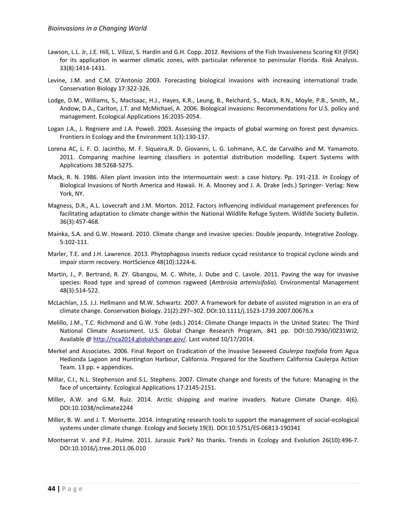- Lawson, L.L. Jr, J.E. Hill, L. Vilizzi, S. Hardin and G.H. Copp. 2012. Revisions of the Fish Invasiveness Scoring Kit (FISK) for its application in warmer climatic zones, with particular reference to peninsular Florida. Risk Analysis. 33(8):1414-1431.
- Levine, J.M. and C.M. D'Antonio 2003. Forecasting biological invasions with increasing international trade. Conservation Biology 17:322-326.
- Lodge, D.M., Williams, S., MacIsaac, H.J., Hayes, K.R., Leung, B., Reichard, S., Mack, R.N., Moyle, P.B., Smith, M., Andow, D.A., Carlton, J.T. and McMichael, A. 2006. Biological invasions: Recommendations for U.S. policy and management. Ecological Applications 16:2035-2054.
- Logan J.A., J. Regniere and J.A. Powell. 2003. Assessing the impacts of global warming on forest pest dynamics. Frontiers in Ecology and the Environment 1(3):130-137.
- Lorena AC, L. F. O. Jacintho, M. F. Siqueira,R. D. Giovanni, L. G. Lohmann, A.C. de Carvalho and M. Yamamoto. 2011. Comparing machine learning classifiers in potential distribution modelling. Expert Systems with Applications 38:5268-5275.
- Mack, R. N. 1986. Alien plant invasion into the intermountain west: a case history. Pp. 191-213. *In* Ecology of Biological Invasions of North America and Hawaii. H. A. Mooney and J. A. Drake (eds.) Springer- Verlag: New York, NY.
- Magness, D.R., A.L. Lovecraft and J.M. Morton. 2012. Factors influencing individual management preferences for facilitating adaptation to climate change within the National Wildlife Refuge System. Wildlife Society Bulletin. 36(3):457-468.
- Mainka, S.A. and G.W. Howard. 2010. Climate change and invasive species: Double jeopardy. Integrative Zoology. 5:102-111.
- Marler, T.E. and J.H. Lawrence. 2013. Phytophagous insects reduce cycad resistance to tropical cyclone winds and impair storm recovery. HortScience 48(10):1224-6.
- Martin, J., P. Bertrand, R. ZY. Gbangou, M. C. White, J. Dube and C. Lavole. 2011. Paving the way for invasive species: Road type and spread of common ragweed (*Ambrosia artemisifolia*). Environmental Management 48(3):514-522.
- McLachlan, J.S. J.J. Hellmann and M.W. Schwartz. 2007. A framework for debate of assisted migration in an era of climate change. Conservation Biology. 21(2):297–302. DOI:10.1111/j.1523-1739.2007.00676.x
- Melillo, J.M., T.C. Richmond and G.W. Yohe (eds.) 2014: Climate Change Impacts in the United States: The Third National Climate Assessment. U.S. Global Change Research Program, 841 pp. DOI:10.7930/J0Z31WJ2. Available @ [http://nca2014.globalchange.gov/.](http://nca2014.globalchange.gov/) Last visited 10/17/2014.
- Merkel and Associates. 2006. Final Report on Eradication of the Invasive Seaweed *Caulerpa taxifolia* from Agua Hedionda Lagoon and Huntington Harbour, California. Prepared for the Southern California Caulerpa Action Team. 13 pp. + appendices.
- Millar, C.I., N.L. Stephenson and S.L. Stephens. 2007. Climate change and forests of the future: Managing in the face of uncertainty. Ecological Applications 17:2145-2151.
- Miller, A.W. and G.M. Ruiz. 2014. Arctic shipping and marine invaders. Nature Climate Change. 4(6). DOI:10.1038/nclimate2244
- Miller, B. W. and J. T. Morisette. 2014. Integrating research tools to support the management of social-ecological systems under climate change. Ecology and Society 19(3). DOI:10.5751/ES-06813-190341
- Montserrat V. and P.E. Hulme. 2011. Jurassic Park? No thanks. Trends in Ecology and Evolution 26(10):496-7. DOI:10.1016/j.tree.2011.06.010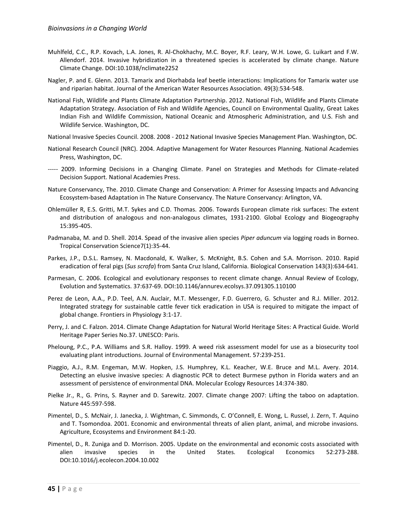- Muhlfeld, C.C., R.P. Kovach, L.A. Jones, R. Al-Chokhachy, M.C. Boyer, R.F. Leary, W.H. Lowe, G. Luikart and F.W. Allendorf. 2014. Invasive hybridization in a threatened species is accelerated by climate change. Nature Climate Change. DOI:10.1038/nclimate2252
- Nagler, P. and E. Glenn. 2013. Tamarix and Diorhabda leaf beetle interactions: Implications for Tamarix water use and riparian habitat. Journal of the American Water Resources Association. 49(3):534-548.
- National Fish, Wildlife and Plants Climate Adaptation Partnership. 2012. National Fish, Wildlife and Plants Climate Adaptation Strategy. Association of Fish and Wildlife Agencies, Council on Environmental Quality, Great Lakes Indian Fish and Wildlife Commission, National Oceanic and Atmospheric Administration, and U.S. Fish and Wildlife Service. Washington, DC.
- National Invasive Species Council. 2008. 2008 2012 National Invasive Species Management Plan. Washington, DC.
- National Research Council (NRC). 2004. Adaptive Management for Water Resources Planning. National Academies Press, Washington, DC.
- ----- 2009. Informing Decisions in a Changing Climate. Panel on Strategies and Methods for Climate-related Decision Support. National Academies Press.
- Nature Conservancy, The. 2010. Climate Change and Conservation: A Primer for Assessing Impacts and Advancing Ecosystem-based Adaptation in The Nature Conservancy. The Nature Conservancy: Arlington, VA.
- Ohlemüller R, E.S. Gritti, M.T. Sykes and C.D. Thomas. 2006. Towards European climate risk surfaces: The extent and distribution of analogous and non-analogous climates, 1931-2100. Global Ecology and Biogeography 15:395-405.
- Padmanaba, M. and D. Shell. 2014. Spead of the invasive alien species *Piper aduncum* via logging roads in Borneo. Tropical Conservation Science7(1):35-44.
- Parkes, J.P., D.S.L. Ramsey, N. Macdonald, K. Walker, S. McKnight, B.S. Cohen and S.A. Morrison. 2010. Rapid eradication of feral pigs (*Sus scrofa*) from Santa Cruz Island, California. Biological Conservation 143(3):634-641.
- Parmesan, C. 2006. Ecological and evolutionary responses to recent climate change. Annual Review of Ecology, Evolution and Systematics. 37:637-69. DOI:10.1146/annurev.ecolsys.37.091305.110100
- Perez de Leon, A.A., P.D. Teel, A.N. Auclair, M.T. Messenger, F.D. Guerrero, G. Schuster and R.J. Miller. 2012. Integrated strategy for sustainable cattle fever tick eradication in USA is required to mitigate the impact of global change. Frontiers in Physiology 3:1-17.
- Perry, J. and C. Falzon. 2014. Climate Change Adaptation for Natural World Heritage Sites: A Practical Guide. World Heritage Paper Series No.37. UNESCO: Paris.
- Pheloung, P.C., P.A. Williams and S.R. Halloy. 1999. A weed risk assessment model for use as a biosecurity tool evaluating plant introductions. Journal of Environmental Management. 57:239-251.
- Piaggio, A.J., R.M. Engeman, M.W. Hopken, J.S. Humphrey, K.L. Keacher, W.E. Bruce and M.L. Avery. 2014. Detecting an elusive invasive species: A diagnostic PCR to detect Burmese python in Florida waters and an assessment of persistence of environmental DNA. Molecular Ecology Resources 14:374-380.
- Pielke Jr., R., G. Prins, S. Rayner and D. Sarewitz. 2007. Climate change 2007: Lifting the taboo on adaptation. Nature 445:597-598.
- Pimentel, D., S. McNair, J. Janecka, J. Wightman, C. Simmonds, C. O'Connell, E. Wong, L. Russel, J. Zern, T. Aquino and T. Tsomondoa. 2001. Economic and environmental threats of alien plant, animal, and microbe invasions. Agriculture, Ecosystems and Environment 84:1-20.
- Pimentel, D., R. Zuniga and D. Morrison. 2005. Update on the environmental and economic costs associated with alien invasive species in the United States. Ecological Economics 52:273-288. DOI:10.1016/j.ecolecon.2004.10.002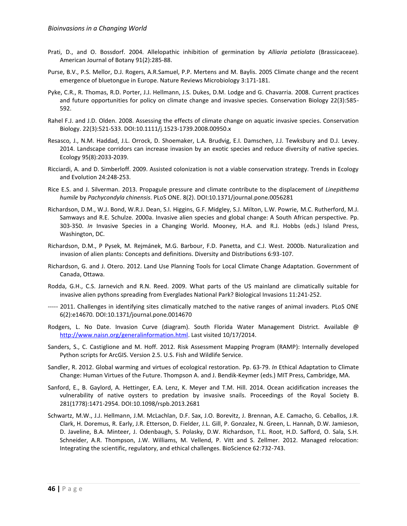- Prati, D., and O. Bossdorf. 2004. Allelopathic inhibition of germination by *Alliaria petiolata* (Brassicaceae). American Journal of Botany 91(2):285-88.
- Purse, B.V., P.S. Mellor, D.J. Rogers, A.R.Samuel, P.P. Mertens and M. Baylis. 2005 Climate change and the recent emergence of bluetongue in Europe. Nature Reviews Microbiology 3:171-181.
- Pyke, C.R., R. Thomas, R.D. Porter, J.J. Hellmann, J.S. Dukes, D.M. Lodge and G. Chavarria. 2008. Current practices and future opportunities for policy on climate change and invasive species. Conservation Biology 22(3):585- 592.
- Rahel F.J. and J.D. Olden. 2008. Assessing the effects of climate change on aquatic invasive species. Conservation Biology. 22(3):521-533. DOI:10.1111/j.1523-1739.2008.00950.x
- Resasco, J., N.M. Haddad, J.L. Orrock, D. Shoemaker, L.A. Brudvig, E.I. Damschen, J.J. Tewksbury and D.J. Levey. 2014. Landscape corridors can increase invasion by an exotic species and reduce diversity of native species. Ecology 95(8):2033-2039.
- Ricciardi, A. and D. Simberloff. 2009. Assisted colonization is not a viable conservation strategy. Trends in Ecology and Evolution 24:248-253.
- Rice E.S. and J. Silverman. 2013. Propagule pressure and climate contribute to the displacement of *Linepithema humile* by *Pachycondyla chinensis*. PLoS ONE. 8(2). DOI:10.1371/journal.pone.0056281
- Richardson, D.M., W.J. Bond, W.R.J. Dean, S.I. Higgins, G.F. Midgley, S.J. Milton, L.W. Powrie, M.C. Rutherford, M.J. Samways and R.E. Schulze. 2000a. Invasive alien species and global change: A South African perspective. Pp. 303-350. *In* Invasive Species in a Changing World. Mooney, H.A. and R.J. Hobbs (eds.) Island Press, Washington, DC.
- Richardson, D.M., P Pysek, M. Rejmánek, M.G. Barbour, F.D. Panetta, and C.J. West. 2000b. Naturalization and invasion of alien plants: Concepts and definitions. Diversity and Distributions 6:93-107.
- Richardson, G. and J. Otero. 2012. Land Use Planning Tools for Local Climate Change Adaptation. Government of Canada, Ottawa.
- Rodda, G.H., C.S. Jarnevich and R.N. Reed. 2009. What parts of the US mainland are climatically suitable for invasive alien pythons spreading from Everglades National Park? Biological Invasions 11:241-252.
- ----- 2011. Challenges in identifying sites climatically matched to the native ranges of animal invaders. PLoS ONE 6(2):e14670. DOI:10.1371/journal.pone.0014670
- Rodgers, L. No Date. Invasion Curve (diagram). South Florida Water Management District. Available @ [http://www.naisn.org/generalinformation.html.](http://www.naisn.org/generalinformation.html) Last visited 10/17/2014.
- Sanders, S., C. Castiglione and M. Hoff. 2012. Risk Assessment Mapping Program (RAMP): Internally developed Python scripts for ArcGIS. Version 2.5. U.S. Fish and Wildlife Service.
- Sandler, R. 2012. Global warming and virtues of ecological restoration. Pp. 63-79. *In* Ethical Adaptation to Climate Change: Human Virtues of the Future. Thompson A. and J. Bendik-Keymer (eds.) MIT Press, Cambridge, MA.
- Sanford, E., B. Gaylord, A. Hettinger, E.A. Lenz, K. Meyer and T.M. Hill. 2014. Ocean acidification increases the vulnerability of native oysters to predation by invasive snails. Proceedings of the Royal Society B. 281(1778):1471-2954. DOI:10.1098/rspb.2013.2681
- Schwartz, M.W., J.J. Hellmann, J.M. McLachlan, D.F. Sax, J.O. Borevitz, J. Brennan, A.E. Camacho, G. Ceballos, J.R. Clark, H. Doremus, R. Early, J.R. Etterson, D. Fielder, J.L. Gill, P. Gonzalez, N. Green, L. Hannah, D.W. Jamieson, D. Javeline, B.A. Minteer, J. Odenbaugh, S. Polasky, D.W. Richardson, T.L. Root, H.D. Safford, O. Sala, S.H. Schneider, A.R. Thompson, J.W. Williams, M. Vellend, P. Vitt and S. Zellmer. 2012. Managed relocation: Integrating the scientific, regulatory, and ethical challenges. BioScience 62:732-743.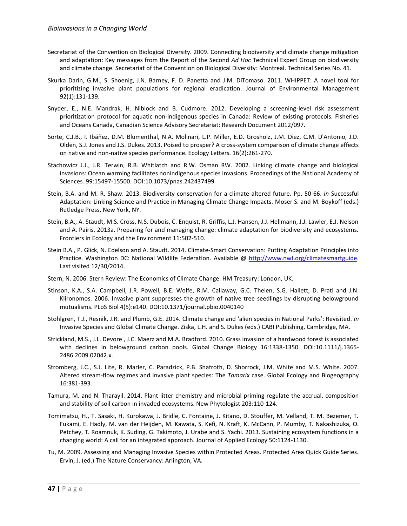- Secretariat of the Convention on Biological Diversity. 2009. Connecting biodiversity and climate change mitigation and adaptation: Key messages from the Report of the Second *Ad Hoc* Technical Expert Group on biodiversity and climate change. Secretariat of the Convention on Biological Diversity: Montreal. Technical Series No. 41.
- Skurka Darin, G.M., S. Shoenig, J.N. Barney, F. D. Panetta and J.M. DiTomaso. 2011. WHIPPET: A novel tool for prioritizing invasive plant populations for regional eradication. Journal of Environmental Management 92(1):131-139.
- Snyder, E., N.E. Mandrak, H. Niblock and B. Cudmore. 2012. Developing a screening-level risk assessment prioritization protocol for aquatic non-indigenous species in Canada: Review of existing protocols. Fisheries and Oceans Canada, Canadian Science Advisory Secretariat: Research Document 2012/097.
- Sorte, C.J.B., I. Ibáñez, D.M. Blumenthal, N.A. Molinari, L.P. Miller, E.D. Grosholz, J.M. Diez, C.M. D'Antonio, J.D. Olden, S.J. Jones and J.S. Dukes. 2013. Poised to prosper? A cross-system comparison of climate change effects on native and non-native species performance. Ecology Letters. 16(2):261-270.
- Stachowicz J.J., J.R. Terwin, R.B. Whitlatch and R.W. Osman RW. 2002. Linking climate change and biological invasions: Ocean warming facilitates nonindigenous species invasions. Proceedings of the National Academy of Sciences. 99:15497-15500. DOI:10.1073/pnas.242437499
- Stein, B.A. and M. R. Shaw. 2013. Biodiversity conservation for a climate-altered future. Pp. 50-66. *In* Successful Adaptation: Linking Science and Practice in Managing Climate Change Impacts. Moser S. and M. Boykoff (eds.) Rutledge Press, New York, NY.
- Stein, B.A., A. Staudt, M.S. Cross, N.S. Dubois, C. Enquist, R. Griffis, L.J. Hansen, J.J. Hellmann, J.J. Lawler, E.J. Nelson and A. Pairis. 2013a. Preparing for and managing change: climate adaptation for biodiversity and ecosystems. Frontiers in Ecology and the Environment 11:502-510.
- Stein B.A., P. Glick, N. Edelson and A. Staudt. 2014. Climate-Smart Conservation: Putting Adaptation Principles into Practice. Washington DC: National Wildlife Federation. Available @ [http://www.nwf.org/climatesmartguide.](http://www.nwf.org/climatesmartguide) Last visited 12/30/2014.
- Stern, N. 2006. Stern Review: The Economics of Climate Change. HM Treasury: London, UK.
- Stinson, K.A., S.A. Campbell, J.R. Powell, B.E. Wolfe, R.M. Callaway, G.C. Thelen, S.G. Hallett, D. Prati and J.N. Klironomos. 2006. Invasive plant suppresses the growth of native tree seedlings by disrupting belowground mutualisms. PLoS Biol 4(5):e140. DOI:10.1371/journal.pbio.0040140
- Stohlgren, T.J., Resnik, J.R. and Plumb, G.E. 2014. Climate change and 'alien species in National Parks': Revisited. *In* Invasive Species and Global Climate Change. Ziska, L.H. and S. Dukes (eds.) CABI Publishing, Cambridge, MA.
- Strickland, M.S., J.L. Devore , J.C. Maerz and M.A. Bradford. 2010. Grass invasion of a hardwood forest is associated with declines in belowground carbon pools. Global Change Biology 16:1338-1350. DOI:10.1111/j.1365-2486.2009.02042.x.
- Stromberg, J.C., S.J. Lite, R. Marler, C. Paradzick, P.B. Shafroth, D. Shorrock, J.M. White and M.S. White. 2007. Altered stream-flow regimes and invasive plant species: The *Tamarix* case. Global Ecology and Biogeography 16:381-393.
- Tamura, M. and N. Tharayil. 2014. Plant litter chemistry and microbial priming regulate the accrual, composition and stability of soil carbon in invaded ecosystems. New Phytologist 203:110-124.
- Tomimatsu, H., T. Sasaki, H. Kurokawa, J. Bridle, C. Fontaine, J. Kitano, D. Stouffer, M. Velland, T. M. Bezemer, T. Fukami, E. Hadly, M. van der Heijden, M. Kawata, S. Kefi, N. Kraft, K. McCann, P. Mumby, T. Nakashizuka, O. Petchey, T. Roamnuk, K. Suding, G. Takimoto, J. Urabe and S. Yachi. 2013. Sustaining ecosystem functions in a changing world: A call for an integrated approach. Journal of Applied Ecology 50:1124-1130.
- Tu, M. 2009. Assessing and Managing Invasive Species within Protected Areas. Protected Area Quick Guide Series. Ervin, J. (ed.) The Nature Conservancy: Arlington, VA.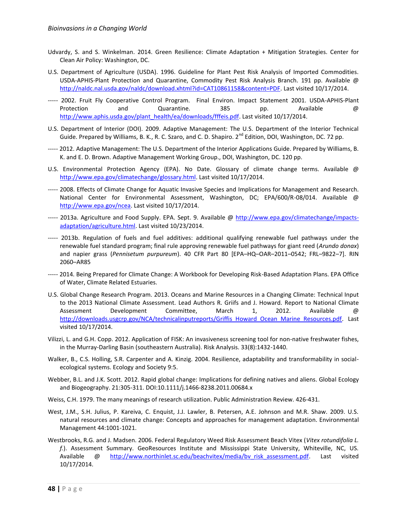- Udvardy, S. and S. Winkelman. 2014. Green Resilience: Climate Adaptation + Mitigation Strategies. Center for Clean Air Policy: Washington, DC.
- U.S. Department of Agriculture (USDA). 1996. Guideline for Plant Pest Risk Analysis of Imported Commodities. USDA-APHIS-Plant Protection and Quarantine, Commodity Pest Risk Analysis Branch. 191 pp. Available @ [http://naldc.nal.usda.gov/naldc/download.xhtml?id=CAT10861158&content=PDF.](http://naldc.nal.usda.gov/naldc/download.xhtml?id=CAT10861158&content=PDF) Last visited 10/17/2014.
- ----- 2002. Fruit Fly Cooperative Control Program. Final Environ. Impact Statement 2001. USDA-APHIS-Plant Protection and Quarantine. 385 pp. Available @ [http://www.aphis.usda.gov/plant\\_health/ea/downloads/fffeis.pdf.](http://www.aphis.usda.gov/plant_health/ea/downloads/fffeis.pdf) Last visited 10/17/2014.
- U.S. Department of Interior (DOI). 2009. Adaptive Management: The U.S. Department of the Interior Technical Guide. Prepared by Williams, B. K., R. C. Szaro, and C. D. Shapiro. 2<sup>nd</sup> Edition, DOI, Washington, DC. 72 pp.
- ----- 2012. Adaptive Management: The U.S. Department of the Interior Applications Guide. Prepared by Williams, B. K. and E. D. Brown. Adaptive Management Working Group., DOI, Washington, DC. 120 pp.
- U.S. Environmental Protection Agency (EPA). No Date. Glossary of climate change terms. Available @ [http://www.epa.gov/climatechange/glossary.html.](http://www.epa.gov/climatechange/glossary.html) Last visited 10/17/2014.
- ----- 2008. Effects of Climate Change for Aquatic Invasive Species and Implications for Management and Research. National Center for Environmental Assessment, Washington, DC; EPA/600/R-08/014. Available @ [http://www.epa.gov/ncea.](http://www.epa.gov/ncea) Last visited 10/17/2014.
- ----- 2013a. Agriculture and Food Supply. EPA. Sept. 9. Available @ [http://www.epa.gov/climatechange/impacts](http://www.epa.gov/climatechange/impacts-adaptation/agriculture.html)[adaptation/agriculture.html.](http://www.epa.gov/climatechange/impacts-adaptation/agriculture.html) Last visited 10/23/2014.
- ----- 2013b. Regulation of fuels and fuel additives: additional qualifying renewable fuel pathways under the renewable fuel standard program; final rule approving renewable fuel pathways for giant reed (*Arundo donax*) and napier grass (*Pennisetum purpureum*). 40 CFR Part 80 [EPA–HQ–OAR–2011–0542; FRL–9822–7]. RIN 2060–AR85
- ----- 2014. Being Prepared for Climate Change: A Workbook for Developing Risk-Based Adaptation Plans. EPA Office of Water, Climate Related Estuaries.
- U.S. Global Change Research Program. 2013. Oceans and Marine Resources in a Changing Climate: Technical Input to the 2013 National Climate Assessment. Lead Authors R. Griifs and J. Howard. Report to National Climate Assessment Development Committee, March 1, 2012. Available @ [http://downloads.usgcrp.gov/NCA/technicalinputreports/Griffis\\_Howard\\_Ocean\\_Marine\\_Resources.pdf.](http://downloads.usgcrp.gov/NCA/technicalinputreports/Griffis_Howard_Ocean_Marine_Resources.pdf) Last visited 10/17/2014.
- Vilizzi, L. and G.H. Copp. 2012. Application of FISK: An invasiveness screening tool for non-native freshwater fishes, in the Murray-Darling Basin (southeastern Australia). Risk Analysis. 33(8):1432-1440.
- Walker, B., C.S. Holling, S.R. Carpenter and A. Kinzig. 2004. Resilience, adaptability and transformability in socialecological systems. Ecology and Society 9:5.
- Webber, B.L. and J.K. Scott. 2012. Rapid global change: Implications for defining natives and aliens. Global Ecology and Biogeography. 21:305-311. DOI:10.1111/j.1466-8238.2011.00684.x
- Weiss, C.H. 1979. The many meanings of research utilization. Public Administration Review. 426-431.
- West, J.M., S.H. Julius, P. Kareiva, C. Enquist, J.J. Lawler, B. Petersen, A.E. Johnson and M.R. Shaw. 2009. U.S. natural resources and climate change: Concepts and approaches for management adaptation. Environmental Management 44:1001-1021.
- Westbrooks, R.G. and J. Madsen. 2006. Federal Regulatory Weed Risk Assessment Beach Vitex (*Vitex rotundifolia L. f.*). Assessment Summary. GeoResources Institute and Mississippi State University, Whiteville, NC, US. Available @ http://www.northinlet.sc.edu/beachvitex/media/by\_risk\_assessment.pdf. Last visited 10/17/2014.